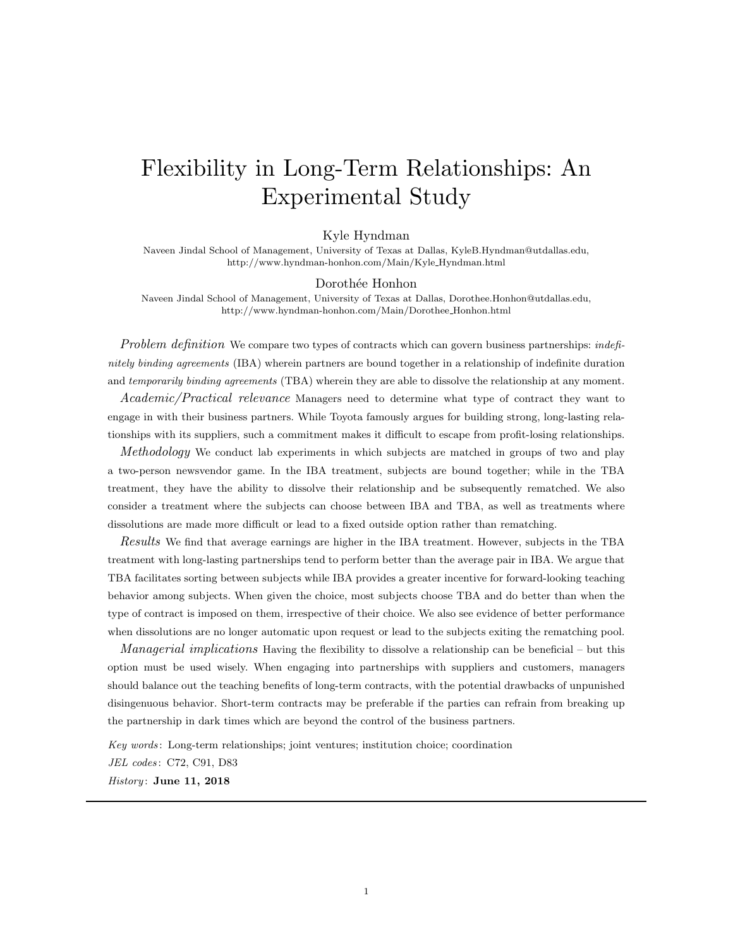# Flexibility in Long-Term Relationships: An Experimental Study

#### Kyle Hyndman

Naveen Jindal School of Management, University of Texas at Dallas, KyleB.Hyndman@utdallas.edu, http://www.hyndman-honhon.com/Main/Kyle Hyndman.html

#### Dorothée Honhon

Naveen Jindal School of Management, University of Texas at Dallas, Dorothee.Honhon@utdallas.edu, http://www.hyndman-honhon.com/Main/Dorothee Honhon.html

Problem definition We compare two types of contracts which can govern business partnerships: *indefi*nitely binding agreements (IBA) wherein partners are bound together in a relationship of indefinite duration and temporarily binding agreements (TBA) wherein they are able to dissolve the relationship at any moment.

Academic/Practical relevance Managers need to determine what type of contract they want to engage in with their business partners. While Toyota famously argues for building strong, long-lasting relationships with its suppliers, such a commitment makes it difficult to escape from profit-losing relationships.

Methodology We conduct lab experiments in which subjects are matched in groups of two and play a two-person newsvendor game. In the IBA treatment, subjects are bound together; while in the TBA treatment, they have the ability to dissolve their relationship and be subsequently rematched. We also consider a treatment where the subjects can choose between IBA and TBA, as well as treatments where dissolutions are made more difficult or lead to a fixed outside option rather than rematching.

Results We find that average earnings are higher in the IBA treatment. However, subjects in the TBA treatment with long-lasting partnerships tend to perform better than the average pair in IBA. We argue that TBA facilitates sorting between subjects while IBA provides a greater incentive for forward-looking teaching behavior among subjects. When given the choice, most subjects choose TBA and do better than when the type of contract is imposed on them, irrespective of their choice. We also see evidence of better performance when dissolutions are no longer automatic upon request or lead to the subjects exiting the rematching pool.

Managerial implications Having the flexibility to dissolve a relationship can be beneficial – but this option must be used wisely. When engaging into partnerships with suppliers and customers, managers should balance out the teaching benefits of long-term contracts, with the potential drawbacks of unpunished disingenuous behavior. Short-term contracts may be preferable if the parties can refrain from breaking up the partnership in dark times which are beyond the control of the business partners.

Key words : Long-term relationships; joint ventures; institution choice; coordination JEL codes : C72, C91, D83 History: June 11, 2018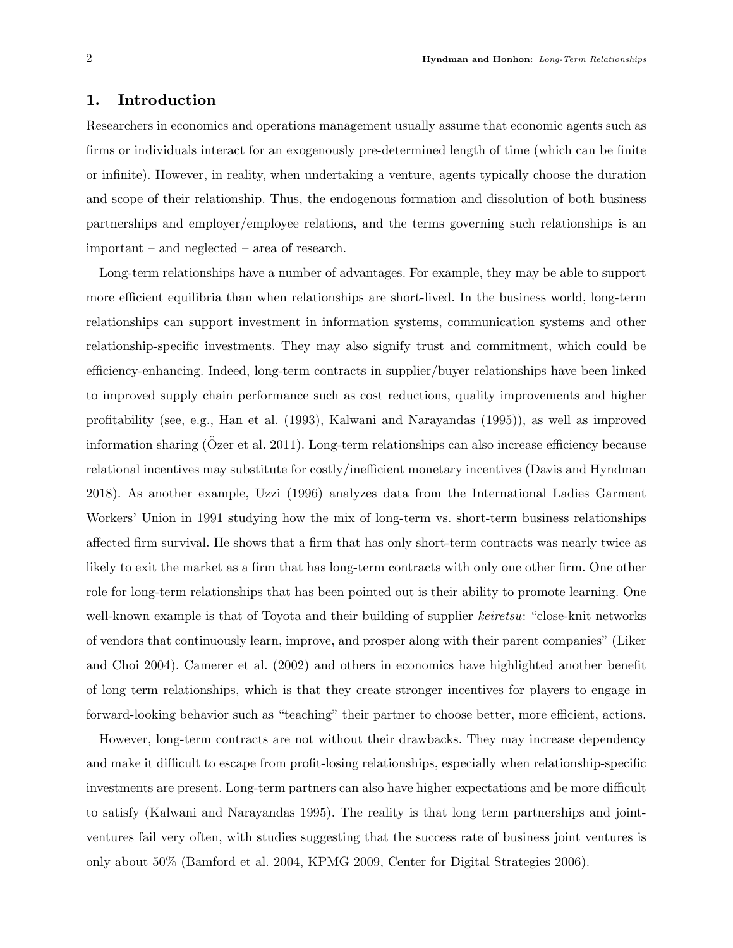## 1. Introduction

Researchers in economics and operations management usually assume that economic agents such as firms or individuals interact for an exogenously pre-determined length of time (which can be finite or infinite). However, in reality, when undertaking a venture, agents typically choose the duration and scope of their relationship. Thus, the endogenous formation and dissolution of both business partnerships and employer/employee relations, and the terms governing such relationships is an important – and neglected – area of research.

Long-term relationships have a number of advantages. For example, they may be able to support more efficient equilibria than when relationships are short-lived. In the business world, long-term relationships can support investment in information systems, communication systems and other relationship-specific investments. They may also signify trust and commitment, which could be efficiency-enhancing. Indeed, long-term contracts in supplier/buyer relationships have been linked to improved supply chain performance such as cost reductions, quality improvements and higher profitability (see, e.g., Han et al. (1993), Kalwani and Narayandas (1995)), as well as improved information sharing ( $O$ zer et al. 2011). Long-term relationships can also increase efficiency because relational incentives may substitute for costly/inefficient monetary incentives (Davis and Hyndman 2018). As another example, Uzzi (1996) analyzes data from the International Ladies Garment Workers' Union in 1991 studying how the mix of long-term vs. short-term business relationships affected firm survival. He shows that a firm that has only short-term contracts was nearly twice as likely to exit the market as a firm that has long-term contracts with only one other firm. One other role for long-term relationships that has been pointed out is their ability to promote learning. One well-known example is that of Toyota and their building of supplier keiretsu: "close-knit networks" of vendors that continuously learn, improve, and prosper along with their parent companies" (Liker and Choi 2004). Camerer et al. (2002) and others in economics have highlighted another benefit of long term relationships, which is that they create stronger incentives for players to engage in forward-looking behavior such as "teaching" their partner to choose better, more efficient, actions.

However, long-term contracts are not without their drawbacks. They may increase dependency and make it difficult to escape from profit-losing relationships, especially when relationship-specific investments are present. Long-term partners can also have higher expectations and be more difficult to satisfy (Kalwani and Narayandas 1995). The reality is that long term partnerships and jointventures fail very often, with studies suggesting that the success rate of business joint ventures is only about 50% (Bamford et al. 2004, KPMG 2009, Center for Digital Strategies 2006).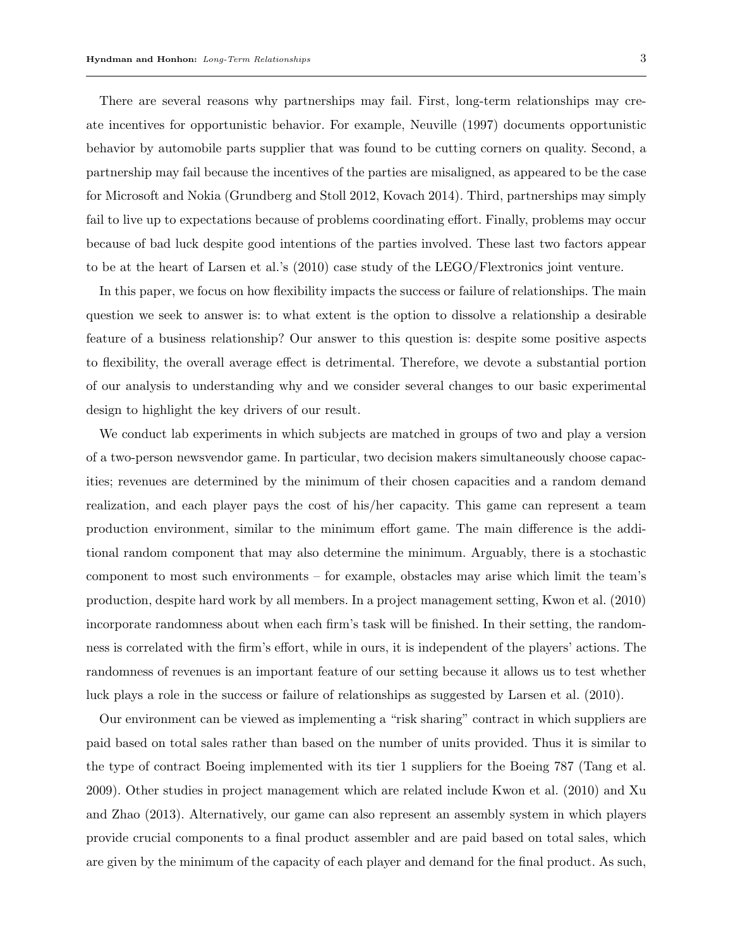There are several reasons why partnerships may fail. First, long-term relationships may create incentives for opportunistic behavior. For example, Neuville (1997) documents opportunistic behavior by automobile parts supplier that was found to be cutting corners on quality. Second, a partnership may fail because the incentives of the parties are misaligned, as appeared to be the case for Microsoft and Nokia (Grundberg and Stoll 2012, Kovach 2014). Third, partnerships may simply fail to live up to expectations because of problems coordinating effort. Finally, problems may occur because of bad luck despite good intentions of the parties involved. These last two factors appear to be at the heart of Larsen et al.'s (2010) case study of the LEGO/Flextronics joint venture.

In this paper, we focus on how flexibility impacts the success or failure of relationships. The main question we seek to answer is: to what extent is the option to dissolve a relationship a desirable feature of a business relationship? Our answer to this question is: despite some positive aspects to flexibility, the overall average effect is detrimental. Therefore, we devote a substantial portion of our analysis to understanding why and we consider several changes to our basic experimental design to highlight the key drivers of our result.

We conduct lab experiments in which subjects are matched in groups of two and play a version of a two-person newsvendor game. In particular, two decision makers simultaneously choose capacities; revenues are determined by the minimum of their chosen capacities and a random demand realization, and each player pays the cost of his/her capacity. This game can represent a team production environment, similar to the minimum effort game. The main difference is the additional random component that may also determine the minimum. Arguably, there is a stochastic component to most such environments – for example, obstacles may arise which limit the team's production, despite hard work by all members. In a project management setting, Kwon et al. (2010) incorporate randomness about when each firm's task will be finished. In their setting, the randomness is correlated with the firm's effort, while in ours, it is independent of the players' actions. The randomness of revenues is an important feature of our setting because it allows us to test whether luck plays a role in the success or failure of relationships as suggested by Larsen et al. (2010).

Our environment can be viewed as implementing a "risk sharing" contract in which suppliers are paid based on total sales rather than based on the number of units provided. Thus it is similar to the type of contract Boeing implemented with its tier 1 suppliers for the Boeing 787 (Tang et al. 2009). Other studies in project management which are related include Kwon et al. (2010) and Xu and Zhao (2013). Alternatively, our game can also represent an assembly system in which players provide crucial components to a final product assembler and are paid based on total sales, which are given by the minimum of the capacity of each player and demand for the final product. As such,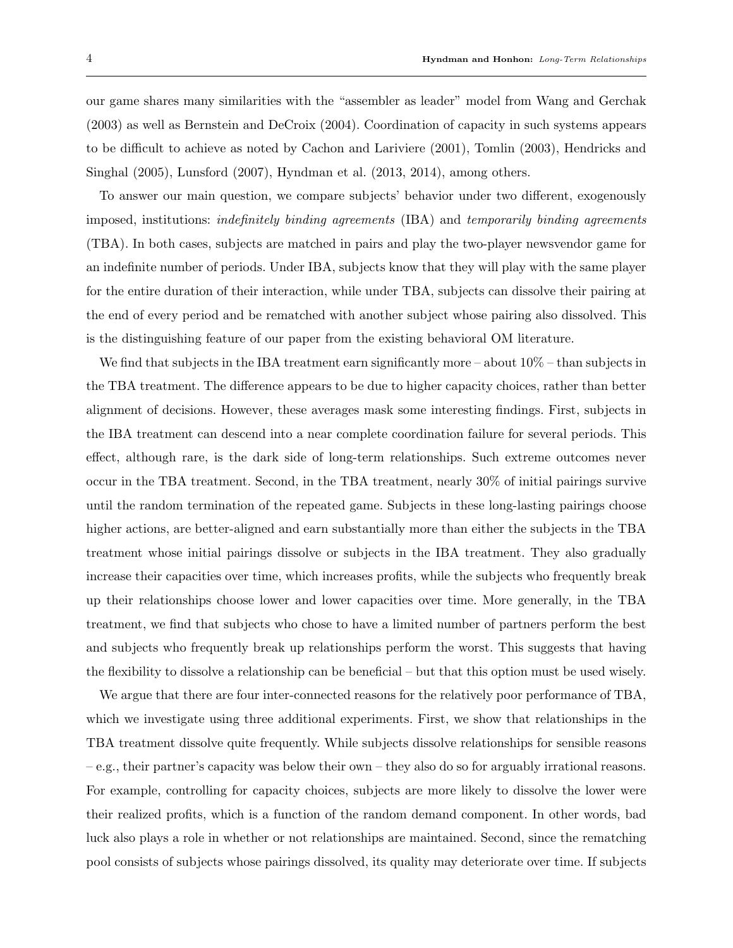our game shares many similarities with the "assembler as leader" model from Wang and Gerchak (2003) as well as Bernstein and DeCroix (2004). Coordination of capacity in such systems appears to be difficult to achieve as noted by Cachon and Lariviere (2001), Tomlin (2003), Hendricks and Singhal (2005), Lunsford (2007), Hyndman et al. (2013, 2014), among others.

To answer our main question, we compare subjects' behavior under two different, exogenously imposed, institutions: indefinitely binding agreements (IBA) and temporarily binding agreements (TBA). In both cases, subjects are matched in pairs and play the two-player newsvendor game for an indefinite number of periods. Under IBA, subjects know that they will play with the same player for the entire duration of their interaction, while under TBA, subjects can dissolve their pairing at the end of every period and be rematched with another subject whose pairing also dissolved. This is the distinguishing feature of our paper from the existing behavioral OM literature.

We find that subjects in the IBA treatment earn significantly more – about  $10\%$  – than subjects in the TBA treatment. The difference appears to be due to higher capacity choices, rather than better alignment of decisions. However, these averages mask some interesting findings. First, subjects in the IBA treatment can descend into a near complete coordination failure for several periods. This effect, although rare, is the dark side of long-term relationships. Such extreme outcomes never occur in the TBA treatment. Second, in the TBA treatment, nearly 30% of initial pairings survive until the random termination of the repeated game. Subjects in these long-lasting pairings choose higher actions, are better-aligned and earn substantially more than either the subjects in the TBA treatment whose initial pairings dissolve or subjects in the IBA treatment. They also gradually increase their capacities over time, which increases profits, while the subjects who frequently break up their relationships choose lower and lower capacities over time. More generally, in the TBA treatment, we find that subjects who chose to have a limited number of partners perform the best and subjects who frequently break up relationships perform the worst. This suggests that having the flexibility to dissolve a relationship can be beneficial – but that this option must be used wisely.

We argue that there are four inter-connected reasons for the relatively poor performance of TBA, which we investigate using three additional experiments. First, we show that relationships in the TBA treatment dissolve quite frequently. While subjects dissolve relationships for sensible reasons – e.g., their partner's capacity was below their own – they also do so for arguably irrational reasons. For example, controlling for capacity choices, subjects are more likely to dissolve the lower were their realized profits, which is a function of the random demand component. In other words, bad luck also plays a role in whether or not relationships are maintained. Second, since the rematching pool consists of subjects whose pairings dissolved, its quality may deteriorate over time. If subjects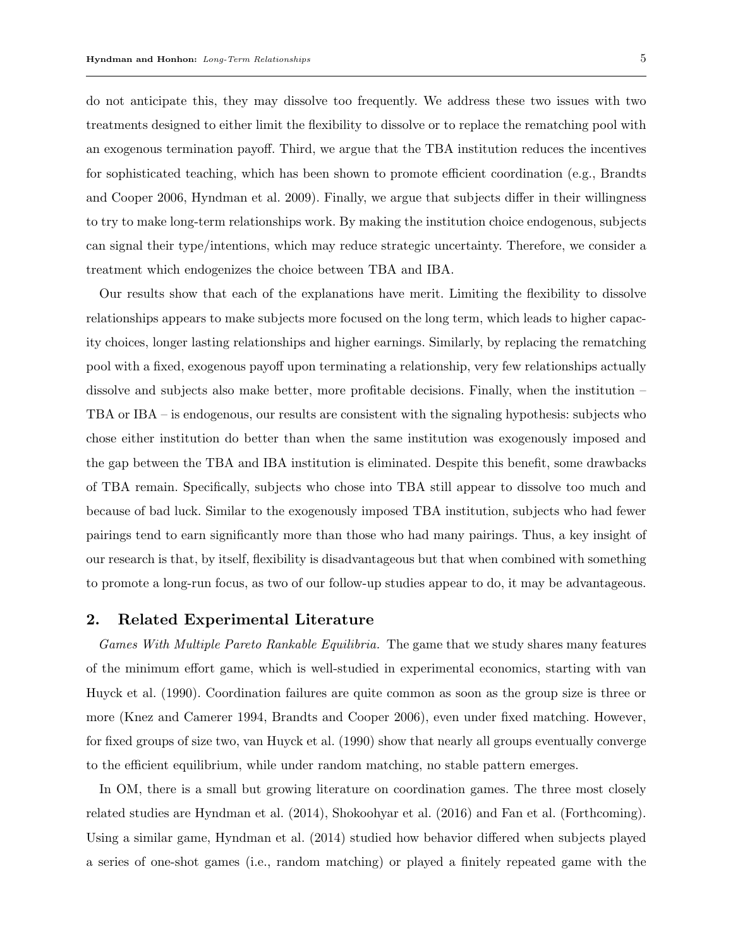do not anticipate this, they may dissolve too frequently. We address these two issues with two treatments designed to either limit the flexibility to dissolve or to replace the rematching pool with an exogenous termination payoff. Third, we argue that the TBA institution reduces the incentives for sophisticated teaching, which has been shown to promote efficient coordination (e.g., Brandts and Cooper 2006, Hyndman et al. 2009). Finally, we argue that subjects differ in their willingness to try to make long-term relationships work. By making the institution choice endogenous, subjects can signal their type/intentions, which may reduce strategic uncertainty. Therefore, we consider a treatment which endogenizes the choice between TBA and IBA.

Our results show that each of the explanations have merit. Limiting the flexibility to dissolve relationships appears to make subjects more focused on the long term, which leads to higher capacity choices, longer lasting relationships and higher earnings. Similarly, by replacing the rematching pool with a fixed, exogenous payoff upon terminating a relationship, very few relationships actually dissolve and subjects also make better, more profitable decisions. Finally, when the institution – TBA or IBA – is endogenous, our results are consistent with the signaling hypothesis: subjects who chose either institution do better than when the same institution was exogenously imposed and the gap between the TBA and IBA institution is eliminated. Despite this benefit, some drawbacks of TBA remain. Specifically, subjects who chose into TBA still appear to dissolve too much and because of bad luck. Similar to the exogenously imposed TBA institution, subjects who had fewer pairings tend to earn significantly more than those who had many pairings. Thus, a key insight of our research is that, by itself, flexibility is disadvantageous but that when combined with something to promote a long-run focus, as two of our follow-up studies appear to do, it may be advantageous.

## 2. Related Experimental Literature

Games With Multiple Pareto Rankable Equilibria. The game that we study shares many features of the minimum effort game, which is well-studied in experimental economics, starting with van Huyck et al. (1990). Coordination failures are quite common as soon as the group size is three or more (Knez and Camerer 1994, Brandts and Cooper 2006), even under fixed matching. However, for fixed groups of size two, van Huyck et al. (1990) show that nearly all groups eventually converge to the efficient equilibrium, while under random matching, no stable pattern emerges.

In OM, there is a small but growing literature on coordination games. The three most closely related studies are Hyndman et al. (2014), Shokoohyar et al. (2016) and Fan et al. (Forthcoming). Using a similar game, Hyndman et al. (2014) studied how behavior differed when subjects played a series of one-shot games (i.e., random matching) or played a finitely repeated game with the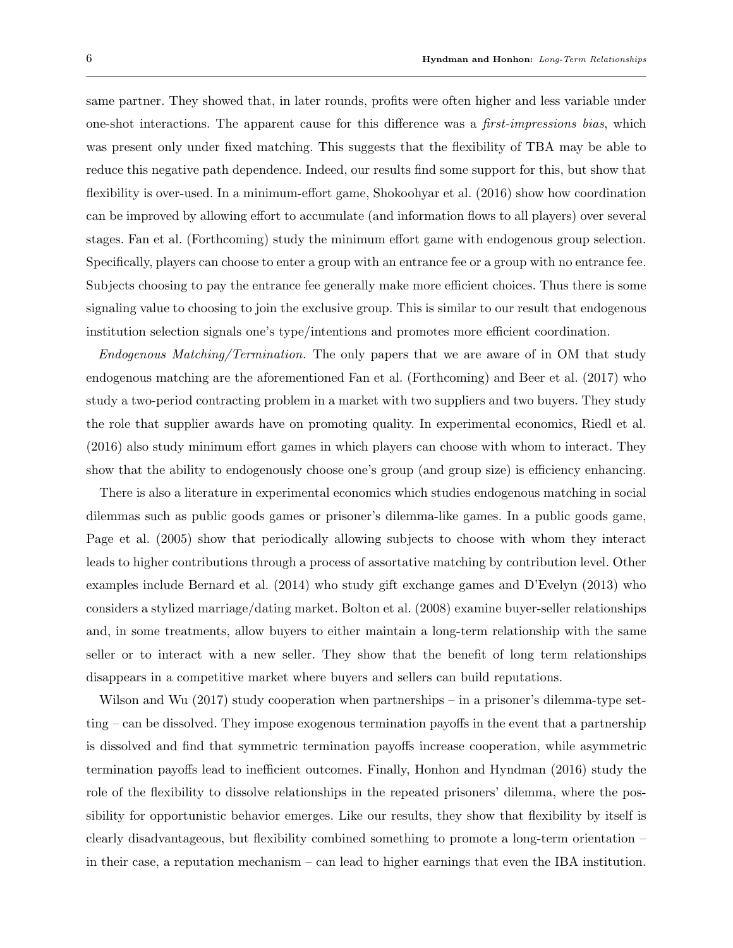same partner. They showed that, in later rounds, profits were often higher and less variable under one-shot interactions. The apparent cause for this difference was a first-impressions bias, which was present only under fixed matching. This suggests that the flexibility of TBA may be able to reduce this negative path dependence. Indeed, our results find some support for this, but show that flexibility is over-used. In a minimum-effort game, Shokoohyar et al. (2016) show how coordination can be improved by allowing effort to accumulate (and information flows to all players) over several stages. Fan et al. (Forthcoming) study the minimum effort game with endogenous group selection. Specifically, players can choose to enter a group with an entrance fee or a group with no entrance fee. Subjects choosing to pay the entrance fee generally make more efficient choices. Thus there is some signaling value to choosing to join the exclusive group. This is similar to our result that endogenous institution selection signals one's type/intentions and promotes more efficient coordination.

Endogenous Matching/Termination. The only papers that we are aware of in OM that study endogenous matching are the aforementioned Fan et al. (Forthcoming) and Beer et al. (2017) who study a two-period contracting problem in a market with two suppliers and two buyers. They study the role that supplier awards have on promoting quality. In experimental economics, Riedl et al. (2016) also study minimum effort games in which players can choose with whom to interact. They show that the ability to endogenously choose one's group (and group size) is efficiency enhancing.

There is also a literature in experimental economics which studies endogenous matching in social dilemmas such as public goods games or prisoner's dilemma-like games. In a public goods game, Page et al. (2005) show that periodically allowing subjects to choose with whom they interact leads to higher contributions through a process of assortative matching by contribution level. Other examples include Bernard et al. (2014) who study gift exchange games and D'Evelyn (2013) who considers a stylized marriage/dating market. Bolton et al. (2008) examine buyer-seller relationships and, in some treatments, allow buyers to either maintain a long-term relationship with the same seller or to interact with a new seller. They show that the benefit of long term relationships disappears in a competitive market where buyers and sellers can build reputations.

Wilson and Wu (2017) study cooperation when partnerships – in a prisoner's dilemma-type setting – can be dissolved. They impose exogenous termination payoffs in the event that a partnership is dissolved and find that symmetric termination payoffs increase cooperation, while asymmetric termination payoffs lead to inefficient outcomes. Finally, Honhon and Hyndman (2016) study the role of the flexibility to dissolve relationships in the repeated prisoners' dilemma, where the possibility for opportunistic behavior emerges. Like our results, they show that flexibility by itself is clearly disadvantageous, but flexibility combined something to promote a long-term orientation – in their case, a reputation mechanism – can lead to higher earnings that even the IBA institution.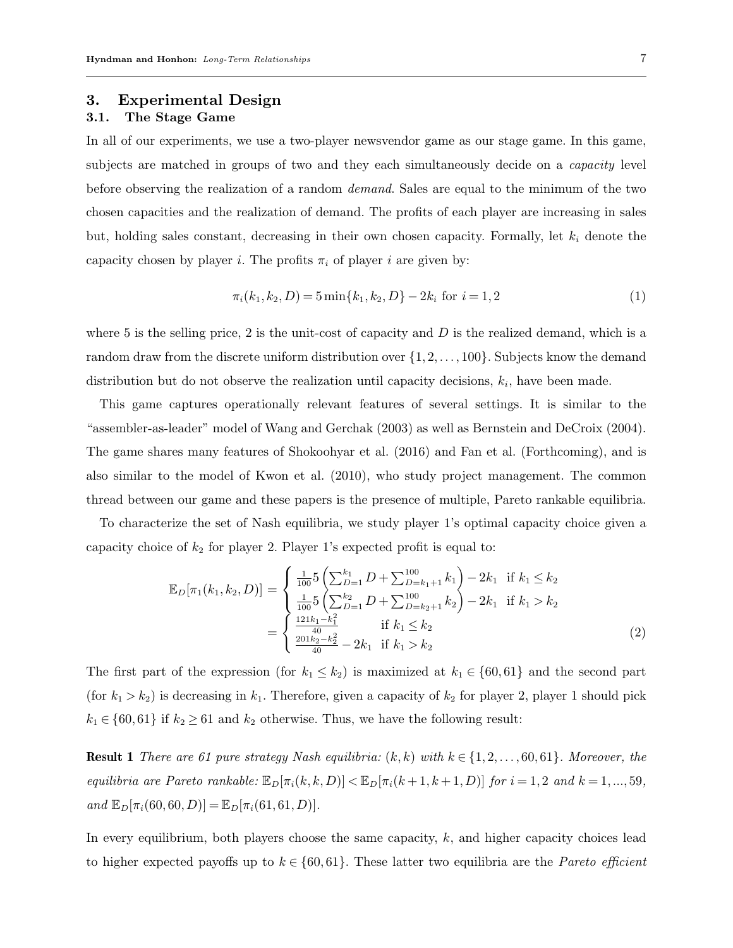# 3. Experimental Design 3.1. The Stage Game

In all of our experiments, we use a two-player newsvendor game as our stage game. In this game, subjects are matched in groups of two and they each simultaneously decide on a *capacity* level before observing the realization of a random demand. Sales are equal to the minimum of the two chosen capacities and the realization of demand. The profits of each player are increasing in sales but, holding sales constant, decreasing in their own chosen capacity. Formally, let  $k_i$  denote the capacity chosen by player *i*. The profits  $\pi_i$  of player *i* are given by:

$$
\pi_i(k_1, k_2, D) = 5 \min\{k_1, k_2, D\} - 2k_i \text{ for } i = 1, 2
$$
\n(1)

where 5 is the selling price, 2 is the unit-cost of capacity and  $D$  is the realized demand, which is a random draw from the discrete uniform distribution over  $\{1, 2, \ldots, 100\}$ . Subjects know the demand distribution but do not observe the realization until capacity decisions,  $k_i$ , have been made.

This game captures operationally relevant features of several settings. It is similar to the "assembler-as-leader" model of Wang and Gerchak (2003) as well as Bernstein and DeCroix (2004). The game shares many features of Shokoohyar et al. (2016) and Fan et al. (Forthcoming), and is also similar to the model of Kwon et al. (2010), who study project management. The common thread between our game and these papers is the presence of multiple, Pareto rankable equilibria.

To characterize the set of Nash equilibria, we study player 1's optimal capacity choice given a capacity choice of  $k_2$  for player 2. Player 1's expected profit is equal to:

$$
\mathbb{E}_{D}[\pi_1(k_1, k_2, D)] = \begin{cases}\n\frac{1}{100} 5 \left( \sum_{D=1}^{k_1} D + \sum_{D=k_1+1}^{100} k_1 \right) - 2k_1 & \text{if } k_1 \le k_2 \\
\frac{1}{100} 5 \left( \sum_{D=1}^{k_2} D + \sum_{D=k_2+1}^{100} k_2 \right) - 2k_1 & \text{if } k_1 > k_2\n\end{cases}
$$
\n
$$
= \begin{cases}\n\frac{121k_1 - k_1^2}{40} & \text{if } k_1 \le k_2 \\
\frac{201k_2 - k_2^2}{40} - 2k_1 & \text{if } k_1 > k_2\n\end{cases}
$$
\n(2)

The first part of the expression (for  $k_1 \leq k_2$ ) is maximized at  $k_1 \in \{60, 61\}$  and the second part (for  $k_1 > k_2$ ) is decreasing in  $k_1$ . Therefore, given a capacity of  $k_2$  for player 2, player 1 should pick  $k_1 \in \{60, 61\}$  if  $k_2 \ge 61$  and  $k_2$  otherwise. Thus, we have the following result:

**Result 1** There are 61 pure strategy Nash equilibria:  $(k, k)$  with  $k \in \{1, 2, ..., 60, 61\}$ . Moreover, the equilibria are Pareto rankable:  $\mathbb{E}_D[\pi_i(k, k, D)] < \mathbb{E}_D[\pi_i(k+1, k+1, D)]$  for  $i = 1, 2$  and  $k = 1, ..., 59$ , and  $\mathbb{E}_D[\pi_i(60, 60, D)] = \mathbb{E}_D[\pi_i(61, 61, D)].$ 

In every equilibrium, both players choose the same capacity, k, and higher capacity choices lead to higher expected payoffs up to  $k \in \{60, 61\}$ . These latter two equilibria are the *Pareto efficient*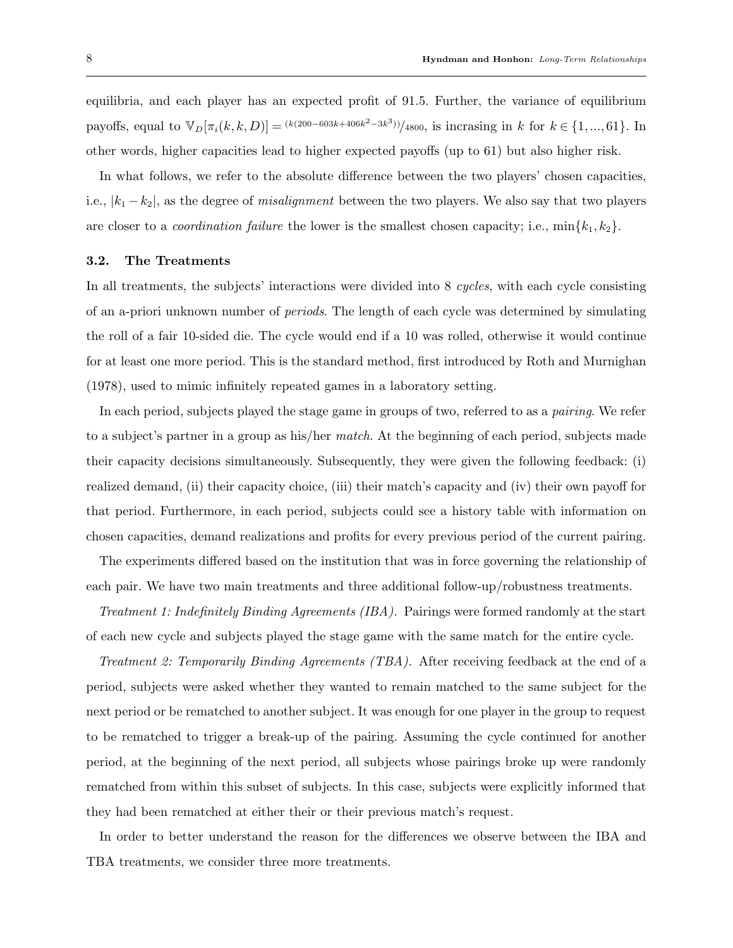equilibria, and each player has an expected profit of 91.5. Further, the variance of equilibrium payoffs, equal to  $\mathbb{V}_D[\pi_i(k, k, D)] = (k(200 - 603k + 406k^2 - 3k^3))/4800$ , is incrasing in  $k$  for  $k \in \{1, ..., 61\}$ . In other words, higher capacities lead to higher expected payoffs (up to 61) but also higher risk.

In what follows, we refer to the absolute difference between the two players' chosen capacities, i.e.,  $|k_1 - k_2|$ , as the degree of *misalignment* between the two players. We also say that two players are closer to a *coordination failure* the lower is the smallest chosen capacity; i.e.,  $\min\{k_1, k_2\}$ .

#### 3.2. The Treatments

In all treatments, the subjects' interactions were divided into 8 cycles, with each cycle consisting of an a-priori unknown number of periods. The length of each cycle was determined by simulating the roll of a fair 10-sided die. The cycle would end if a 10 was rolled, otherwise it would continue for at least one more period. This is the standard method, first introduced by Roth and Murnighan (1978), used to mimic infinitely repeated games in a laboratory setting.

In each period, subjects played the stage game in groups of two, referred to as a pairing. We refer to a subject's partner in a group as his/her match. At the beginning of each period, subjects made their capacity decisions simultaneously. Subsequently, they were given the following feedback: (i) realized demand, (ii) their capacity choice, (iii) their match's capacity and (iv) their own payoff for that period. Furthermore, in each period, subjects could see a history table with information on chosen capacities, demand realizations and profits for every previous period of the current pairing.

The experiments differed based on the institution that was in force governing the relationship of each pair. We have two main treatments and three additional follow-up/robustness treatments.

Treatment 1: Indefinitely Binding Agreements (IBA). Pairings were formed randomly at the start of each new cycle and subjects played the stage game with the same match for the entire cycle.

Treatment 2: Temporarily Binding Agreements (TBA). After receiving feedback at the end of a period, subjects were asked whether they wanted to remain matched to the same subject for the next period or be rematched to another subject. It was enough for one player in the group to request to be rematched to trigger a break-up of the pairing. Assuming the cycle continued for another period, at the beginning of the next period, all subjects whose pairings broke up were randomly rematched from within this subset of subjects. In this case, subjects were explicitly informed that they had been rematched at either their or their previous match's request.

In order to better understand the reason for the differences we observe between the IBA and TBA treatments, we consider three more treatments.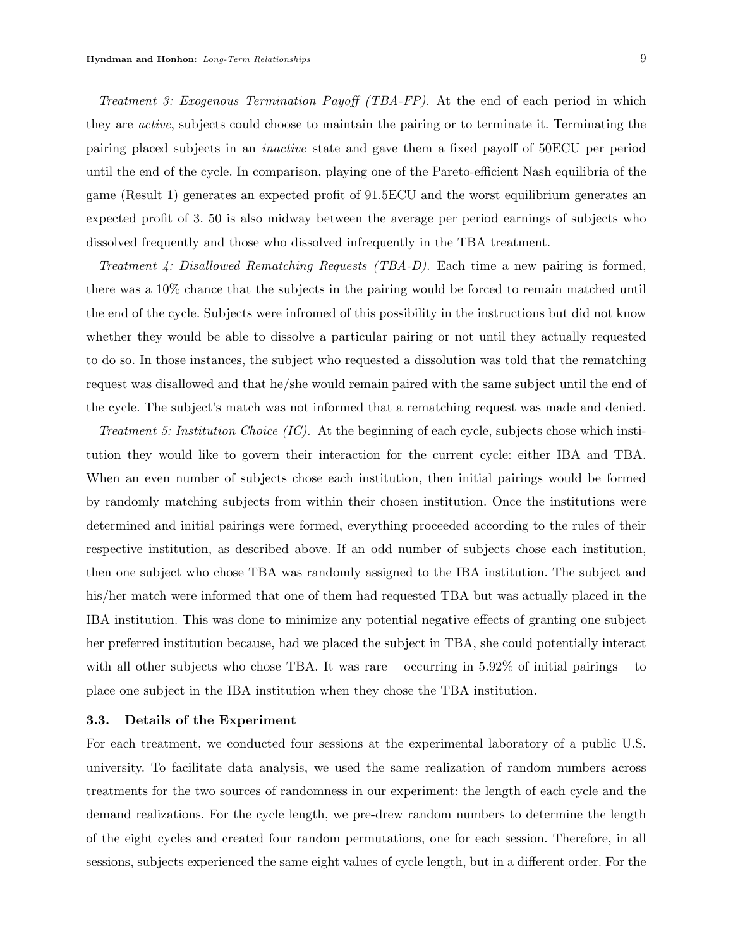Treatment 3: Exogenous Termination Payoff (TBA-FP). At the end of each period in which they are active, subjects could choose to maintain the pairing or to terminate it. Terminating the pairing placed subjects in an inactive state and gave them a fixed payoff of 50ECU per period until the end of the cycle. In comparison, playing one of the Pareto-efficient Nash equilibria of the game (Result 1) generates an expected profit of 91.5ECU and the worst equilibrium generates an expected profit of 3. 50 is also midway between the average per period earnings of subjects who dissolved frequently and those who dissolved infrequently in the TBA treatment.

Treatment 4: Disallowed Rematching Requests (TBA-D). Each time a new pairing is formed, there was a 10% chance that the subjects in the pairing would be forced to remain matched until the end of the cycle. Subjects were infromed of this possibility in the instructions but did not know whether they would be able to dissolve a particular pairing or not until they actually requested to do so. In those instances, the subject who requested a dissolution was told that the rematching request was disallowed and that he/she would remain paired with the same subject until the end of the cycle. The subject's match was not informed that a rematching request was made and denied.

Treatment 5: Institution Choice  $(IC)$ . At the beginning of each cycle, subjects chose which institution they would like to govern their interaction for the current cycle: either IBA and TBA. When an even number of subjects chose each institution, then initial pairings would be formed by randomly matching subjects from within their chosen institution. Once the institutions were determined and initial pairings were formed, everything proceeded according to the rules of their respective institution, as described above. If an odd number of subjects chose each institution, then one subject who chose TBA was randomly assigned to the IBA institution. The subject and his/her match were informed that one of them had requested TBA but was actually placed in the IBA institution. This was done to minimize any potential negative effects of granting one subject her preferred institution because, had we placed the subject in TBA, she could potentially interact with all other subjects who chose TBA. It was rare – occurring in  $5.92\%$  of initial pairings – to place one subject in the IBA institution when they chose the TBA institution.

#### 3.3. Details of the Experiment

For each treatment, we conducted four sessions at the experimental laboratory of a public U.S. university. To facilitate data analysis, we used the same realization of random numbers across treatments for the two sources of randomness in our experiment: the length of each cycle and the demand realizations. For the cycle length, we pre-drew random numbers to determine the length of the eight cycles and created four random permutations, one for each session. Therefore, in all sessions, subjects experienced the same eight values of cycle length, but in a different order. For the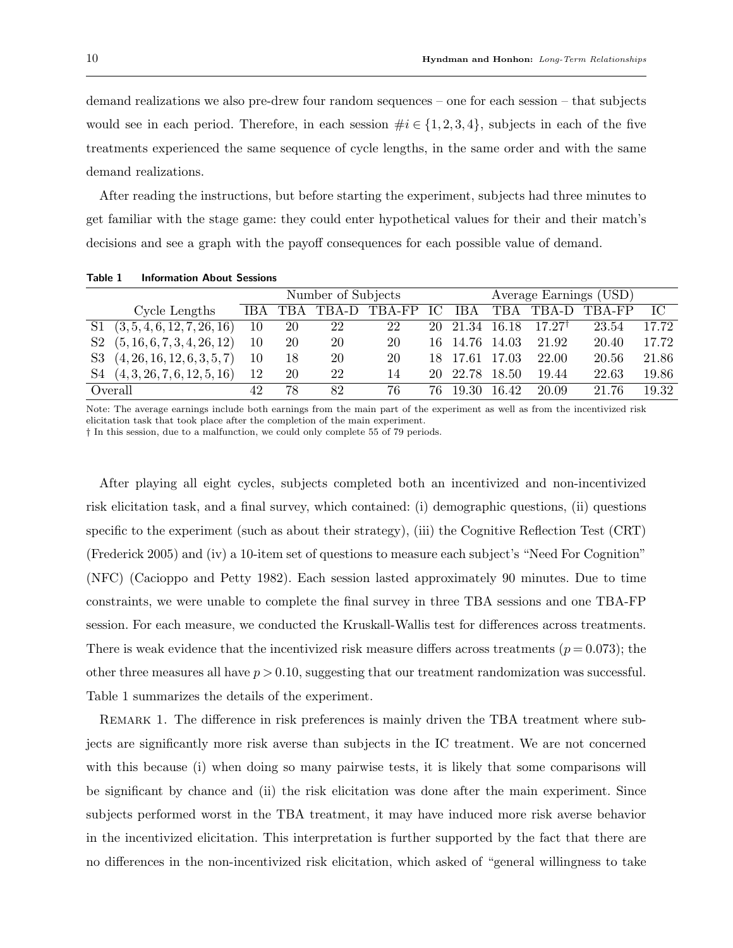demand realizations we also pre-drew four random sequences – one for each session – that subjects would see in each period. Therefore, in each session  $\#i \in \{1,2,3,4\}$ , subjects in each of the five treatments experienced the same sequence of cycle lengths, in the same order and with the same demand realizations.

After reading the instructions, but before starting the experiment, subjects had three minutes to get familiar with the stage game: they could enter hypothetical values for their and their match's decisions and see a graph with the payoff consequences for each possible value of demand.

|                |                             |      | Number of Subjects |    |        |     | Average Earnings (USD) |       |                   |        |       |
|----------------|-----------------------------|------|--------------------|----|--------|-----|------------------------|-------|-------------------|--------|-------|
|                | Cycle Lengths               | IB A |                    |    | TBA-FP | IС  | <b>TBA</b>             | TBA   | TBA-D             | TBA-FP | Ю     |
|                | (3, 5, 4, 6, 12, 7, 26, 16) | 10   | 20                 | 22 | 22     | 20  | 21.34 16.18            |       | $17.27^{\dagger}$ | 23.54  | 17.72 |
| S <sub>2</sub> | (5, 16, 6, 7, 3, 4, 26, 12) | 10   | 20                 | 20 | 20     | 16. | 14.76 14.03            |       | 21.92             | 20.40  | 17.72 |
| S <sub>3</sub> | (4, 26, 16, 12, 6, 3, 5, 7) | 10   | 18                 | 20 | 20     | 18. | -17.61                 | 17.03 | 22.00             | 20.56  | 21.86 |
| S4             | (4,3,26,7,6,12,5,16)        | 12   | 20                 | 22 | 14     | 20  | 22.78                  | 18.50 | 19.44             | 22.63  | 19.86 |
|                | Overall                     | 42   | 78                 | 82 | 76     | 76  | 19.30                  | 16.42 | 20.09             | 21.76  | 19.32 |

Table 1 Information About Sessions

Note: The average earnings include both earnings from the main part of the experiment as well as from the incentivized risk elicitation task that took place after the completion of the main experiment.

† In this session, due to a malfunction, we could only complete 55 of 79 periods.

After playing all eight cycles, subjects completed both an incentivized and non-incentivized risk elicitation task, and a final survey, which contained: (i) demographic questions, (ii) questions specific to the experiment (such as about their strategy), (iii) the Cognitive Reflection Test (CRT) (Frederick 2005) and (iv) a 10-item set of questions to measure each subject's "Need For Cognition" (NFC) (Cacioppo and Petty 1982). Each session lasted approximately 90 minutes. Due to time constraints, we were unable to complete the final survey in three TBA sessions and one TBA-FP session. For each measure, we conducted the Kruskall-Wallis test for differences across treatments. There is weak evidence that the incentivized risk measure differs across treatments ( $p = 0.073$ ); the other three measures all have  $p > 0.10$ , suggesting that our treatment randomization was successful. Table 1 summarizes the details of the experiment.

REMARK 1. The difference in risk preferences is mainly driven the TBA treatment where subjects are significantly more risk averse than subjects in the IC treatment. We are not concerned with this because (i) when doing so many pairwise tests, it is likely that some comparisons will be significant by chance and (ii) the risk elicitation was done after the main experiment. Since subjects performed worst in the TBA treatment, it may have induced more risk averse behavior in the incentivized elicitation. This interpretation is further supported by the fact that there are no differences in the non-incentivized risk elicitation, which asked of "general willingness to take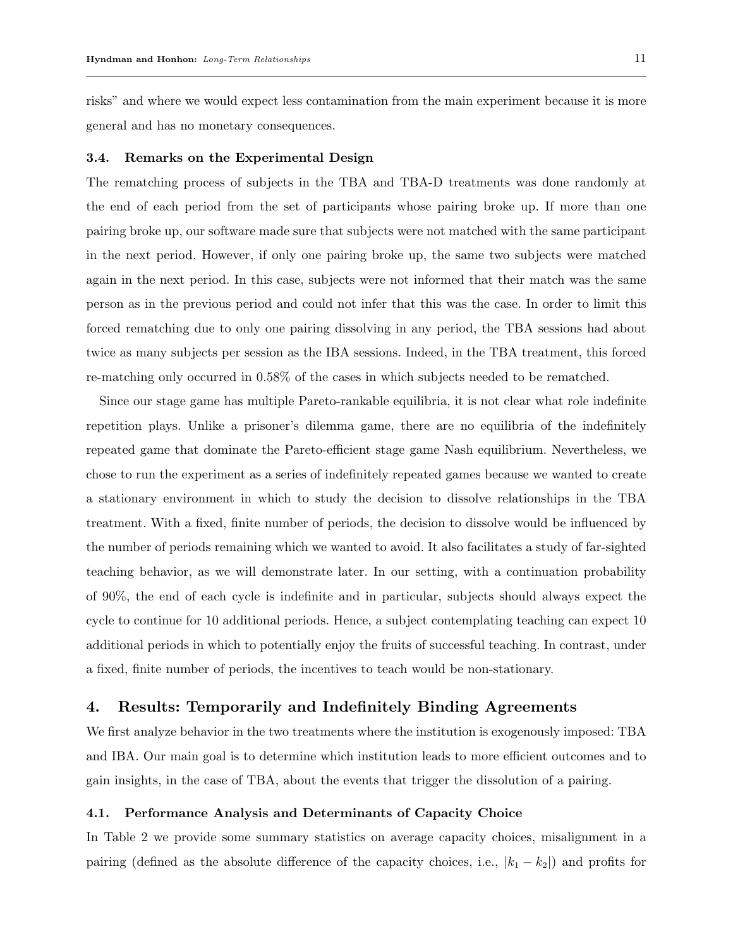risks" and where we would expect less contamination from the main experiment because it is more general and has no monetary consequences.

#### 3.4. Remarks on the Experimental Design

The rematching process of subjects in the TBA and TBA-D treatments was done randomly at the end of each period from the set of participants whose pairing broke up. If more than one pairing broke up, our software made sure that subjects were not matched with the same participant in the next period. However, if only one pairing broke up, the same two subjects were matched again in the next period. In this case, subjects were not informed that their match was the same person as in the previous period and could not infer that this was the case. In order to limit this forced rematching due to only one pairing dissolving in any period, the TBA sessions had about twice as many subjects per session as the IBA sessions. Indeed, in the TBA treatment, this forced re-matching only occurred in 0.58% of the cases in which subjects needed to be rematched.

Since our stage game has multiple Pareto-rankable equilibria, it is not clear what role indefinite repetition plays. Unlike a prisoner's dilemma game, there are no equilibria of the indefinitely repeated game that dominate the Pareto-efficient stage game Nash equilibrium. Nevertheless, we chose to run the experiment as a series of indefinitely repeated games because we wanted to create a stationary environment in which to study the decision to dissolve relationships in the TBA treatment. With a fixed, finite number of periods, the decision to dissolve would be influenced by the number of periods remaining which we wanted to avoid. It also facilitates a study of far-sighted teaching behavior, as we will demonstrate later. In our setting, with a continuation probability of 90%, the end of each cycle is indefinite and in particular, subjects should always expect the cycle to continue for 10 additional periods. Hence, a subject contemplating teaching can expect 10 additional periods in which to potentially enjoy the fruits of successful teaching. In contrast, under a fixed, finite number of periods, the incentives to teach would be non-stationary.

## 4. Results: Temporarily and Indefinitely Binding Agreements

We first analyze behavior in the two treatments where the institution is exogenously imposed: TBA and IBA. Our main goal is to determine which institution leads to more efficient outcomes and to gain insights, in the case of TBA, about the events that trigger the dissolution of a pairing.

#### 4.1. Performance Analysis and Determinants of Capacity Choice

In Table 2 we provide some summary statistics on average capacity choices, misalignment in a pairing (defined as the absolute difference of the capacity choices, i.e.,  $|k_1 - k_2|$ ) and profits for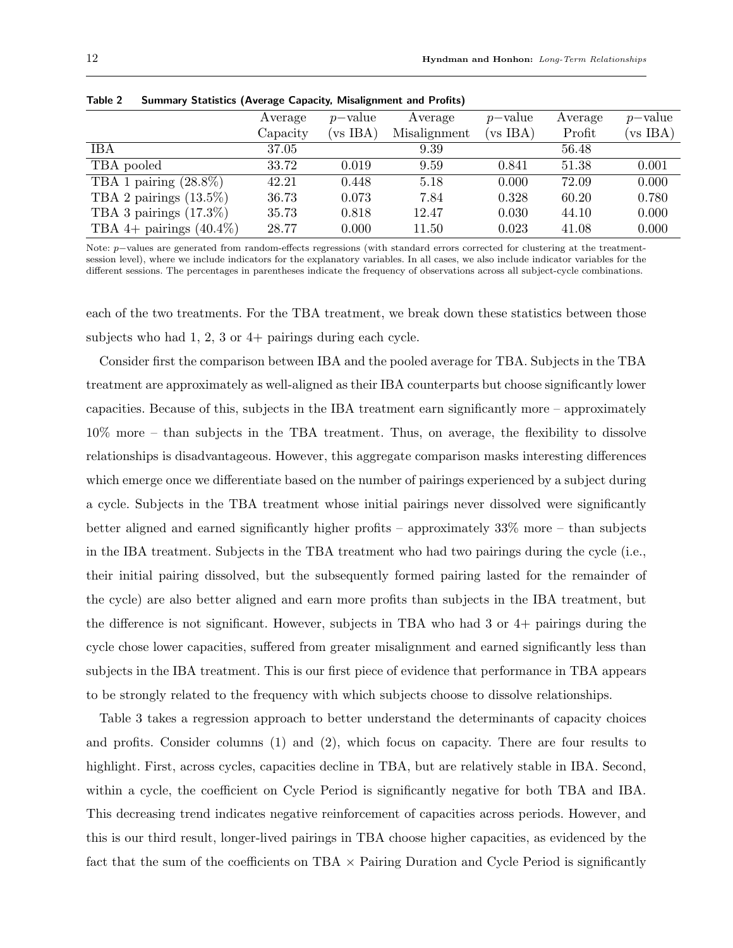|                            | Average  | $p$ -value | Average      | $p$ -value | Average | $p$ -value |
|----------------------------|----------|------------|--------------|------------|---------|------------|
|                            | Capacity | (vs IBA)   | Misalignment | (vs IBA)   | Profit  | (vs IBA)   |
| IBA                        | 37.05    |            | 9.39         |            | 56.48   |            |
| TBA pooled                 | 33.72    | 0.019      | 9.59         | 0.841      | 51.38   | 0.001      |
| TBA 1 pairing $(28.8\%)$   | 42.21    | 0.448      | 5.18         | 0.000      | 72.09   | 0.000      |
| TBA 2 pairings $(13.5\%)$  | 36.73    | 0.073      | 7.84         | 0.328      | 60.20   | 0.780      |
| TBA 3 pairings $(17.3\%)$  | 35.73    | 0.818      | 12.47        | 0.030      | 44.10   | 0.000      |
| TBA 4+ pairings $(40.4\%)$ | 28.77    | 0.000      | 11.50        | 0.023      | 41.08   | 0.000      |

Table 2 Summary Statistics (Average Capacity, Misalignment and Profits)

Note: p−values are generated from random-effects regressions (with standard errors corrected for clustering at the treatmentsession level), where we include indicators for the explanatory variables. In all cases, we also include indicator variables for the different sessions. The percentages in parentheses indicate the frequency of observations across all subject-cycle combinations.

each of the two treatments. For the TBA treatment, we break down these statistics between those subjects who had 1, 2, 3 or 4+ pairings during each cycle.

Consider first the comparison between IBA and the pooled average for TBA. Subjects in the TBA treatment are approximately as well-aligned as their IBA counterparts but choose significantly lower capacities. Because of this, subjects in the IBA treatment earn significantly more – approximately 10% more – than subjects in the TBA treatment. Thus, on average, the flexibility to dissolve relationships is disadvantageous. However, this aggregate comparison masks interesting differences which emerge once we differentiate based on the number of pairings experienced by a subject during a cycle. Subjects in the TBA treatment whose initial pairings never dissolved were significantly better aligned and earned significantly higher profits – approximately 33% more – than subjects in the IBA treatment. Subjects in the TBA treatment who had two pairings during the cycle (i.e., their initial pairing dissolved, but the subsequently formed pairing lasted for the remainder of the cycle) are also better aligned and earn more profits than subjects in the IBA treatment, but the difference is not significant. However, subjects in TBA who had 3 or 4+ pairings during the cycle chose lower capacities, suffered from greater misalignment and earned significantly less than subjects in the IBA treatment. This is our first piece of evidence that performance in TBA appears to be strongly related to the frequency with which subjects choose to dissolve relationships.

Table 3 takes a regression approach to better understand the determinants of capacity choices and profits. Consider columns (1) and (2), which focus on capacity. There are four results to highlight. First, across cycles, capacities decline in TBA, but are relatively stable in IBA. Second, within a cycle, the coefficient on Cycle Period is significantly negative for both TBA and IBA. This decreasing trend indicates negative reinforcement of capacities across periods. However, and this is our third result, longer-lived pairings in TBA choose higher capacities, as evidenced by the fact that the sum of the coefficients on TBA  $\times$  Pairing Duration and Cycle Period is significantly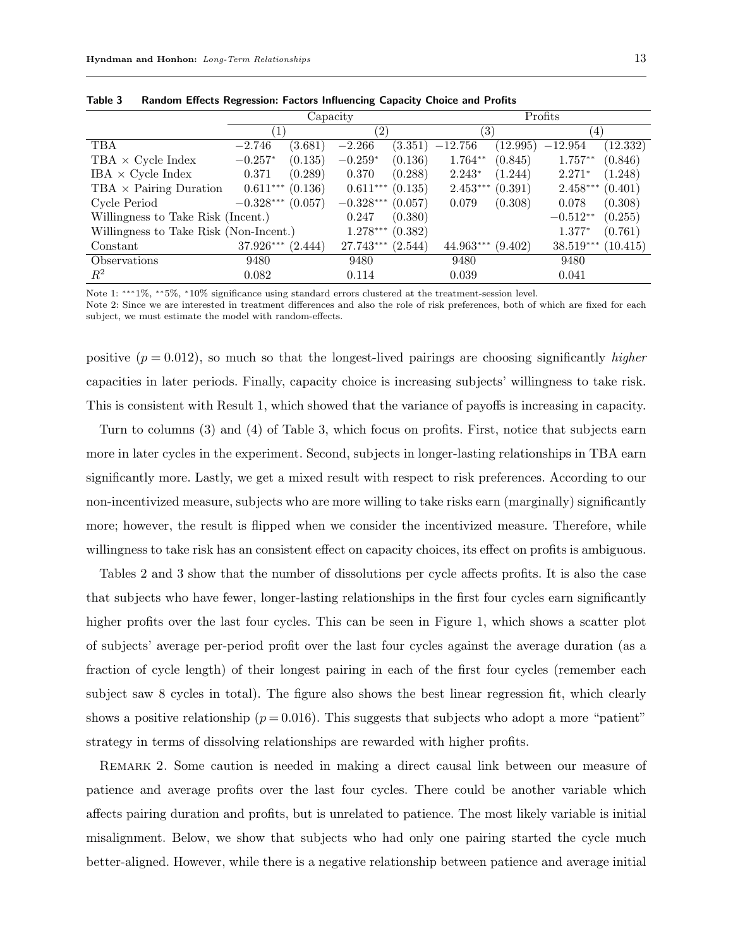|                                        | Capacity    |                       | Profits    |                       |  |  |
|----------------------------------------|-------------|-----------------------|------------|-----------------------|--|--|
|                                        |             | $^{\prime}2,$         | 3          | $\overline{4}$        |  |  |
| <b>TBA</b>                             | (3.681)     | (3.351)               | (12.995)   | (12.332)              |  |  |
|                                        | $-2.746$    | $-2.266$              | $-12.756$  | $-12.954$             |  |  |
| $TBA \times Cycle$ Index               | (0.135)     | $-0.259*$             | $1.764**$  | $1.757**$             |  |  |
|                                        | $-0.257*$   | (0.136)               | (0.845)    | (0.846)               |  |  |
| $IBA \times Cycle Index$               | (0.289)     | 0.370                 | (1.244)    | $2.271*$              |  |  |
|                                        | 0.371       | (0.288)               | $2.243*$   | (1.248)               |  |  |
| $TBA \times \text{Pairing}$ Duration   | $0.611***$  | (0.135)               | $2.453***$ | $2.458***$            |  |  |
|                                        | (0.136)     | $0.611***$            | (0.391)    | (0.401)               |  |  |
| Cycle Period                           | $-0.328***$ | $-0.328***$           | (0.308)    | 0.078                 |  |  |
|                                        | (0.057)     | (0.057)               | 0.079      | (0.308)               |  |  |
| Willingness to Take Risk (Incent.)     |             | 0.247<br>(0.380)      |            | $-0.512**$<br>(0.255) |  |  |
| Willingness to Take Risk (Non-Incent.) |             | $1.278***$<br>(0.382) |            | 1.377*<br>(0.761)     |  |  |
| Constant                               | $37.926***$ | 27.743***             | 44.963***  | $38.519***$           |  |  |
|                                        | (2.444)     | (2.544)               | (9.402)    | (10.415)              |  |  |
| Observations                           | 9480        | 9480                  | 9480       | 9480                  |  |  |
| $R^2$                                  | 0.082       | 0.114                 | 0.039      | 0.041                 |  |  |

Table 3 Random Effects Regression: Factors Influencing Capacity Choice and Profits

Note 1: ∗∗∗1%, ∗∗5%, <sup>∗</sup>10% significance using standard errors clustered at the treatment-session level.

Note 2: Since we are interested in treatment differences and also the role of risk preferences, both of which are fixed for each subject, we must estimate the model with random-effects.

positive  $(p = 0.012)$ , so much so that the longest-lived pairings are choosing significantly higher capacities in later periods. Finally, capacity choice is increasing subjects' willingness to take risk. This is consistent with Result 1, which showed that the variance of payoffs is increasing in capacity.

Turn to columns (3) and (4) of Table 3, which focus on profits. First, notice that subjects earn more in later cycles in the experiment. Second, subjects in longer-lasting relationships in TBA earn significantly more. Lastly, we get a mixed result with respect to risk preferences. According to our non-incentivized measure, subjects who are more willing to take risks earn (marginally) significantly more; however, the result is flipped when we consider the incentivized measure. Therefore, while willingness to take risk has an consistent effect on capacity choices, its effect on profits is ambiguous.

Tables 2 and 3 show that the number of dissolutions per cycle affects profits. It is also the case that subjects who have fewer, longer-lasting relationships in the first four cycles earn significantly higher profits over the last four cycles. This can be seen in Figure 1, which shows a scatter plot of subjects' average per-period profit over the last four cycles against the average duration (as a fraction of cycle length) of their longest pairing in each of the first four cycles (remember each subject saw 8 cycles in total). The figure also shows the best linear regression fit, which clearly shows a positive relationship ( $p = 0.016$ ). This suggests that subjects who adopt a more "patient" strategy in terms of dissolving relationships are rewarded with higher profits.

REMARK 2. Some caution is needed in making a direct causal link between our measure of patience and average profits over the last four cycles. There could be another variable which affects pairing duration and profits, but is unrelated to patience. The most likely variable is initial misalignment. Below, we show that subjects who had only one pairing started the cycle much better-aligned. However, while there is a negative relationship between patience and average initial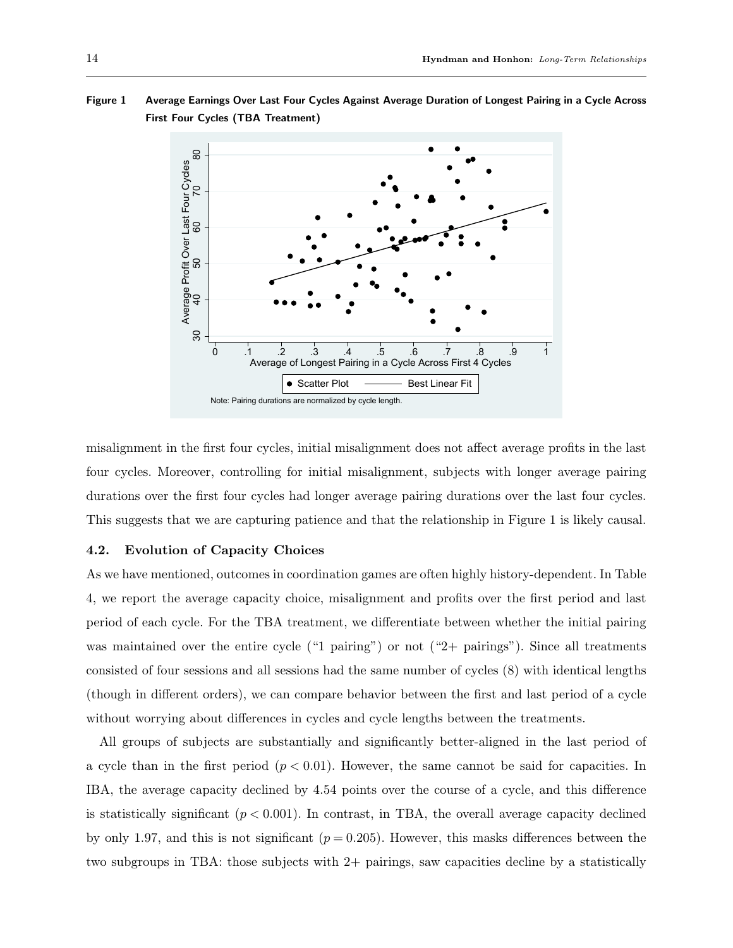Figure 1 Average Earnings Over Last Four Cycles Against Average Duration of Longest Pairing in a Cycle Across First Four Cycles (TBA Treatment)



misalignment in the first four cycles, initial misalignment does not affect average profits in the last four cycles. Moreover, controlling for initial misalignment, subjects with longer average pairing durations over the first four cycles had longer average pairing durations over the last four cycles. This suggests that we are capturing patience and that the relationship in Figure 1 is likely causal.

## 4.2. Evolution of Capacity Choices

As we have mentioned, outcomes in coordination games are often highly history-dependent. In Table 4, we report the average capacity choice, misalignment and profits over the first period and last period of each cycle. For the TBA treatment, we differentiate between whether the initial pairing was maintained over the entire cycle ("1 pairing") or not ("2+ pairings"). Since all treatments consisted of four sessions and all sessions had the same number of cycles (8) with identical lengths (though in different orders), we can compare behavior between the first and last period of a cycle without worrying about differences in cycles and cycle lengths between the treatments.

All groups of subjects are substantially and significantly better-aligned in the last period of a cycle than in the first period  $(p < 0.01)$ . However, the same cannot be said for capacities. In IBA, the average capacity declined by 4.54 points over the course of a cycle, and this difference is statistically significant  $(p < 0.001)$ . In contrast, in TBA, the overall average capacity declined by only 1.97, and this is not significant  $(p = 0.205)$ . However, this masks differences between the two subgroups in TBA: those subjects with 2+ pairings, saw capacities decline by a statistically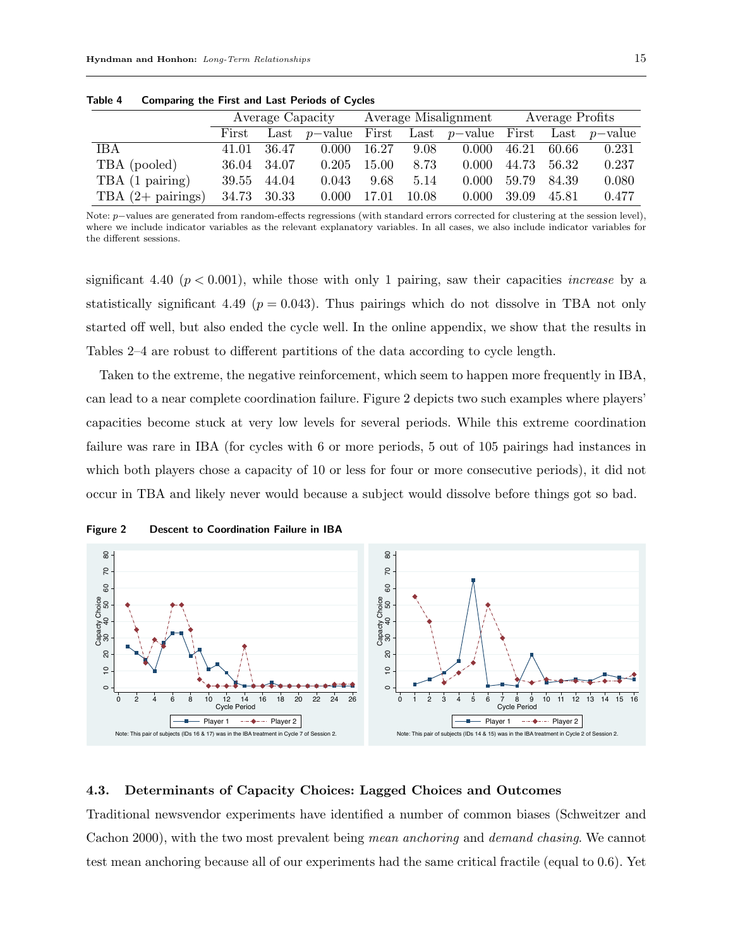|                     | Average Capacity |             | Average Misalignment |       |       | Average Profits             |       |       |                 |
|---------------------|------------------|-------------|----------------------|-------|-------|-----------------------------|-------|-------|-----------------|
|                     | First            | Last        | $p$ -value           |       |       | First Last $p$ -value First |       |       | Last $p$ -value |
| IBA                 | 41.01            | 36.47       | 0.000                | 16.27 | 9.08  | 0.000                       | 46.21 | 60.66 | 0.231           |
| TBA (pooled)        |                  | 36.04 34.07 | 0.205                | 15.00 | 8.73  | 0.000                       | 44.73 | 56.32 | 0.237           |
| TBA (1 pairing)     | 39.55            | 44.04       | 0.043                | 9.68  | 5.14  | 0.000                       | 59.79 | 84.39 | 0.080           |
| TBA $(2+$ pairings) | 34.73            | 30.33       | 0.000                | 17.01 | 10.08 | 0.000                       | 39.09 | 45.81 | 0.477           |

Table 4 Comparing the First and Last Periods of Cycles

Note: p−values are generated from random-effects regressions (with standard errors corrected for clustering at the session level), where we include indicator variables as the relevant explanatory variables. In all cases, we also include indicator variables for the different sessions.

significant 4.40 ( $p < 0.001$ ), while those with only 1 pairing, saw their capacities *increase* by a statistically significant 4.49 ( $p = 0.043$ ). Thus pairings which do not dissolve in TBA not only started off well, but also ended the cycle well. In the online appendix, we show that the results in Tables 2–4 are robust to different partitions of the data according to cycle length.

Taken to the extreme, the negative reinforcement, which seem to happen more frequently in IBA, can lead to a near complete coordination failure. Figure 2 depicts two such examples where players' capacities become stuck at very low levels for several periods. While this extreme coordination failure was rare in IBA (for cycles with 6 or more periods, 5 out of 105 pairings had instances in which both players chose a capacity of 10 or less for four or more consecutive periods), it did not occur in TBA and likely never would because a subject would dissolve before things got so bad.





## 4.3. Determinants of Capacity Choices: Lagged Choices and Outcomes

Traditional newsvendor experiments have identified a number of common biases (Schweitzer and Cachon 2000), with the two most prevalent being mean anchoring and demand chasing. We cannot test mean anchoring because all of our experiments had the same critical fractile (equal to 0.6). Yet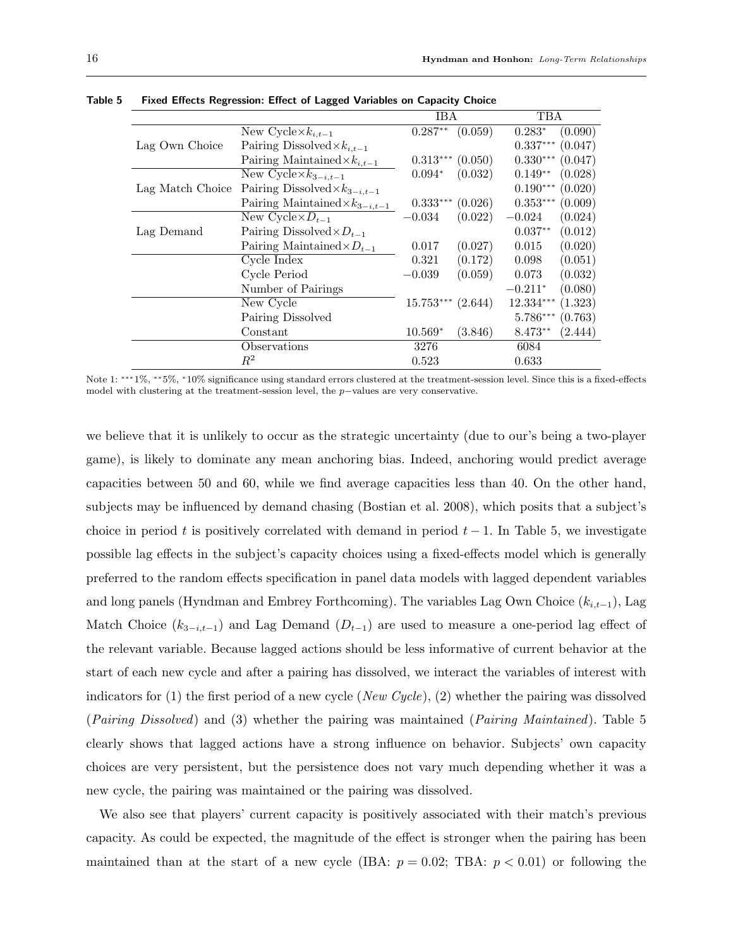|                  |                                         | IBA                   | TBA                   |
|------------------|-----------------------------------------|-----------------------|-----------------------|
|                  | New Cycle $\times k_{i,t-1}$            | $0.287**$<br>(0.059)  | $0.283*$<br>(0.090)   |
| Lag Own Choice   | Pairing Dissolved $\times k_{i,t-1}$    |                       | $0.337***$ $(0.047)$  |
|                  | Pairing Maintained $\times k_{i,t-1}$   | $0.313***$ $(0.050)$  | $0.330***$<br>(0.047) |
|                  | New Cycle $\times k_{3-i,t-1}$          | (0.032)<br>$0.094*$   | $0.149**$<br>(0.028)  |
| Lag Match Choice | Pairing Dissolved $\times k_{3-i,t-1}$  |                       | $0.190***$<br>(0.020) |
|                  | Pairing Maintained $\times k_{3-i,t-1}$ | $0.333***$<br>(0.026) | $0.353***$<br>(0.009) |
|                  | New Cycle $\times D_{t-1}$              | (0.022)<br>$-0.034$   | (0.024)<br>$-0.024$   |
| Lag Demand       | Pairing Dissolved $\times D_{t-1}$      |                       | $0.037**$<br>(0.012)  |
|                  | Pairing Maintained $\times D_{t-1}$     | (0.027)<br>0.017      | (0.020)<br>0.015      |
|                  | Cycle Index                             | (0.172)<br>0.321      | (0.051)<br>0.098      |
|                  | Cycle Period                            | (0.059)<br>$-0.039$   | (0.032)<br>0.073      |
|                  | Number of Pairings                      |                       | (0.080)<br>$-0.211*$  |
|                  | New Cycle                               | $15.753***$ $(2.644)$ | (1.323)<br>12.334***  |
|                  | Pairing Dissolved                       |                       | 5.786***<br>(0.763)   |
|                  | Constant                                | (3.846)<br>$10.569*$  | $8.473**$<br>(2.444)  |
|                  | Observations                            | 3276                  | 6084                  |
|                  | $\,R^2$                                 | 0.523                 | 0.633                 |

Table 5 Fixed Effects Regression: Effect of Lagged Variables on Capacity Choice

Note 1: ∗∗∗1%, ∗∗5%, <sup>∗</sup>10% significance using standard errors clustered at the treatment-session level. Since this is a fixed-effects model with clustering at the treatment-session level, the p−values are very conservative.

we believe that it is unlikely to occur as the strategic uncertainty (due to our's being a two-player game), is likely to dominate any mean anchoring bias. Indeed, anchoring would predict average capacities between 50 and 60, while we find average capacities less than 40. On the other hand, subjects may be influenced by demand chasing (Bostian et al. 2008), which posits that a subject's choice in period t is positively correlated with demand in period  $t - 1$ . In Table 5, we investigate possible lag effects in the subject's capacity choices using a fixed-effects model which is generally preferred to the random effects specification in panel data models with lagged dependent variables and long panels (Hyndman and Embrey Forthcoming). The variables Lag Own Choice  $(k_{i,t-1})$ , Lag Match Choice  $(k_{3-i,t-1})$  and Lag Demand  $(D_{t-1})$  are used to measure a one-period lag effect of the relevant variable. Because lagged actions should be less informative of current behavior at the start of each new cycle and after a pairing has dissolved, we interact the variables of interest with indicators for (1) the first period of a new cycle (*New Cycle*), (2) whether the pairing was dissolved (Pairing Dissolved) and (3) whether the pairing was maintained (Pairing Maintained). Table 5 clearly shows that lagged actions have a strong influence on behavior. Subjects' own capacity choices are very persistent, but the persistence does not vary much depending whether it was a new cycle, the pairing was maintained or the pairing was dissolved.

We also see that players' current capacity is positively associated with their match's previous capacity. As could be expected, the magnitude of the effect is stronger when the pairing has been maintained than at the start of a new cycle (IBA:  $p = 0.02$ ; TBA:  $p < 0.01$ ) or following the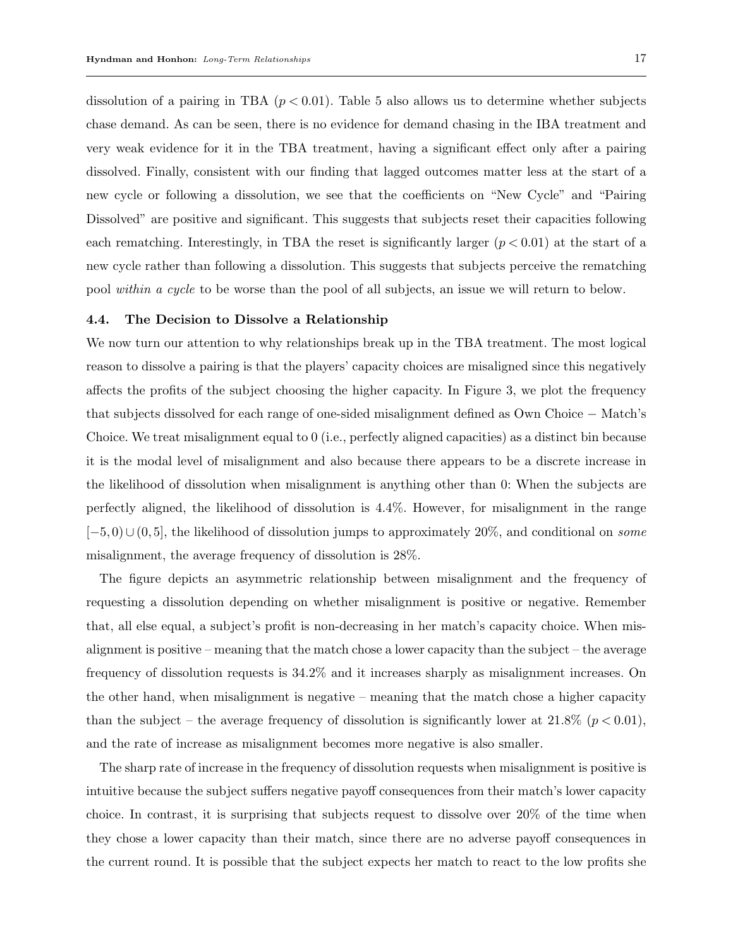dissolution of a pairing in TBA ( $p < 0.01$ ). Table 5 also allows us to determine whether subjects chase demand. As can be seen, there is no evidence for demand chasing in the IBA treatment and very weak evidence for it in the TBA treatment, having a significant effect only after a pairing dissolved. Finally, consistent with our finding that lagged outcomes matter less at the start of a new cycle or following a dissolution, we see that the coefficients on "New Cycle" and "Pairing Dissolved" are positive and significant. This suggests that subjects reset their capacities following each rematching. Interestingly, in TBA the reset is significantly larger  $(p < 0.01)$  at the start of a new cycle rather than following a dissolution. This suggests that subjects perceive the rematching pool within a cycle to be worse than the pool of all subjects, an issue we will return to below.

#### 4.4. The Decision to Dissolve a Relationship

We now turn our attention to why relationships break up in the TBA treatment. The most logical reason to dissolve a pairing is that the players' capacity choices are misaligned since this negatively affects the profits of the subject choosing the higher capacity. In Figure 3, we plot the frequency that subjects dissolved for each range of one-sided misalignment defined as Own Choice − Match's Choice. We treat misalignment equal to 0 (i.e., perfectly aligned capacities) as a distinct bin because it is the modal level of misalignment and also because there appears to be a discrete increase in the likelihood of dissolution when misalignment is anything other than 0: When the subjects are perfectly aligned, the likelihood of dissolution is 4.4%. However, for misalignment in the range  $[-5,0)\cup(0,5]$ , the likelihood of dissolution jumps to approximately 20%, and conditional on *some* misalignment, the average frequency of dissolution is 28%.

The figure depicts an asymmetric relationship between misalignment and the frequency of requesting a dissolution depending on whether misalignment is positive or negative. Remember that, all else equal, a subject's profit is non-decreasing in her match's capacity choice. When misalignment is positive – meaning that the match chose a lower capacity than the subject – the average frequency of dissolution requests is 34.2% and it increases sharply as misalignment increases. On the other hand, when misalignment is negative – meaning that the match chose a higher capacity than the subject – the average frequency of dissolution is significantly lower at  $21.8\%$  ( $p < 0.01$ ), and the rate of increase as misalignment becomes more negative is also smaller.

The sharp rate of increase in the frequency of dissolution requests when misalignment is positive is intuitive because the subject suffers negative payoff consequences from their match's lower capacity choice. In contrast, it is surprising that subjects request to dissolve over 20% of the time when they chose a lower capacity than their match, since there are no adverse payoff consequences in the current round. It is possible that the subject expects her match to react to the low profits she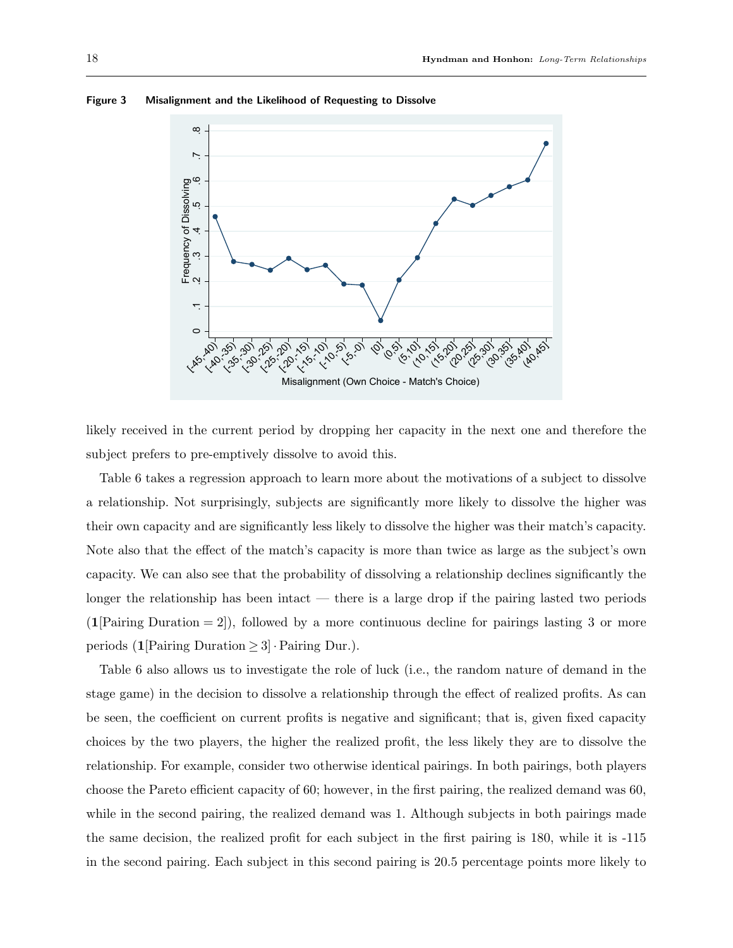

Figure 3 Misalignment and the Likelihood of Requesting to Dissolve

likely received in the current period by dropping her capacity in the next one and therefore the subject prefers to pre-emptively dissolve to avoid this.

Table 6 takes a regression approach to learn more about the motivations of a subject to dissolve a relationship. Not surprisingly, subjects are significantly more likely to dissolve the higher was their own capacity and are significantly less likely to dissolve the higher was their match's capacity. Note also that the effect of the match's capacity is more than twice as large as the subject's own capacity. We can also see that the probability of dissolving a relationship declines significantly the longer the relationship has been intact — there is a large drop if the pairing lasted two periods  $(1\text{Pairing}$  Duration  $= 2\text{)}$ , followed by a more continuous decline for pairings lasting 3 or more periods (1[Pairing Duration  $\geq 3$ ] · Pairing Dur.).

Table 6 also allows us to investigate the role of luck (i.e., the random nature of demand in the stage game) in the decision to dissolve a relationship through the effect of realized profits. As can be seen, the coefficient on current profits is negative and significant; that is, given fixed capacity choices by the two players, the higher the realized profit, the less likely they are to dissolve the relationship. For example, consider two otherwise identical pairings. In both pairings, both players choose the Pareto efficient capacity of 60; however, in the first pairing, the realized demand was 60, while in the second pairing, the realized demand was 1. Although subjects in both pairings made the same decision, the realized profit for each subject in the first pairing is 180, while it is -115 in the second pairing. Each subject in this second pairing is 20.5 percentage points more likely to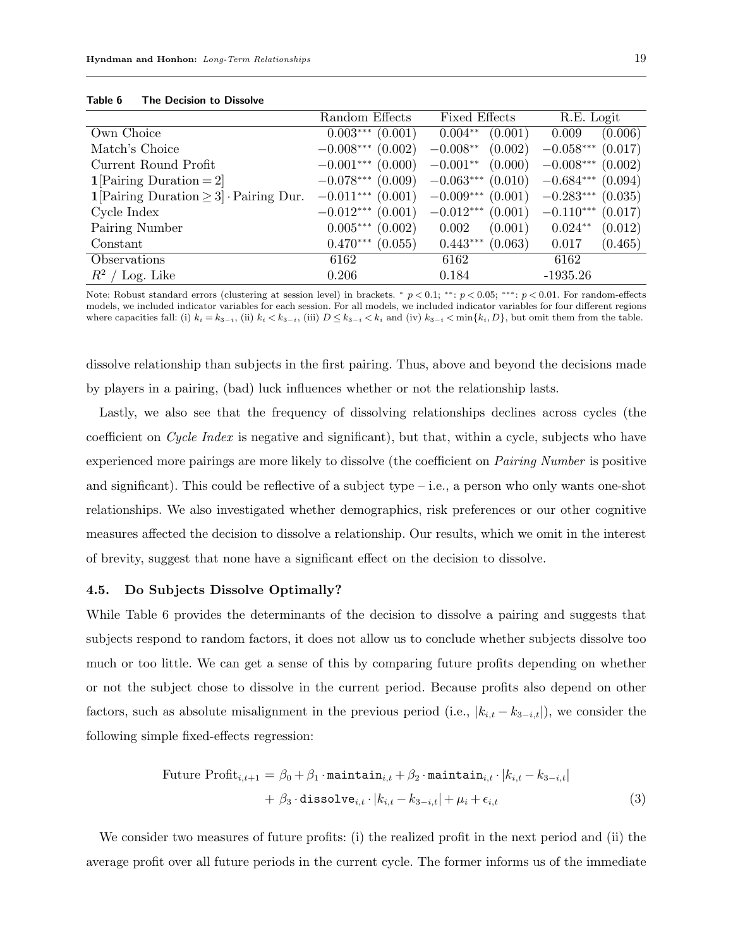|                                               | Random Effects         | <b>Fixed Effects</b>   | R.E. Logit             |
|-----------------------------------------------|------------------------|------------------------|------------------------|
| Own Choice                                    | $0.003***$ $(0.001)$   | (0.001)<br>$0.004**$   | (0.006)<br>0.009       |
| Match's Choice                                | $-0.008***$ (0.002)    | $-0.008**$<br>(0.002)  | $-0.058***$<br>(0.017) |
| Current Round Profit                          | $-0.001***$ (0.000)    | $-0.001**$<br>(0.000)  | $-0.008***$<br>(0.002) |
| $1$ [Pairing Duration = 2]                    | $-0.078***$ (0.009)    | $-0.063***$ (0.010)    | $-0.684***$ (0.094)    |
| $1$ [Pairing Duration $\geq 3$ ] Pairing Dur. | $-0.011***$ (0.001)    | $-0.009***$ (0.001)    | $-0.283***$<br>(0.035) |
| Cycle Index                                   | (0.001)<br>$-0.012***$ | $-0.012***$<br>(0.001) | $-0.110***$<br>(0.017) |
| Pairing Number                                | $0.005***$ (0.002)     | (0.001)<br>0.002       | $0.024**$<br>(0.012)   |
| Constant                                      | $0.470***$<br>(0.055)  | $0.443***$<br>(0.063)  | (0.465)<br>0.017       |
| Observations                                  | 6162                   | 6162                   | 6162                   |
| $R^2$<br>Log. Like                            | 0.206                  | 0.184                  | $-1935.26$             |

#### Table 6 The Decision to Dissolve

Note: Robust standard errors (clustering at session level) in brackets. \*  $p < 0.1$ ; \*\*:  $p < 0.05$ ; \*\*\*:  $p < 0.01$ . For random-effects models, we included indicator variables for each session. For all models, we included indicator variables for four different regions where capacities fall: (i)  $k_i = k_{3-i}$ , (ii)  $k_i < k_{3-i}$ , (iii)  $D \le k_{3-i} < k_i$  and (iv)  $k_{3-i} < \min\{k_i, D\}$ , but omit them from the table.

dissolve relationship than subjects in the first pairing. Thus, above and beyond the decisions made by players in a pairing, (bad) luck influences whether or not the relationship lasts.

Lastly, we also see that the frequency of dissolving relationships declines across cycles (the coefficient on *Cycle Index* is negative and significant), but that, within a cycle, subjects who have experienced more pairings are more likely to dissolve (the coefficient on *Pairing Number* is positive and significant). This could be reflective of a subject type  $-$  i.e., a person who only wants one-shot relationships. We also investigated whether demographics, risk preferences or our other cognitive measures affected the decision to dissolve a relationship. Our results, which we omit in the interest of brevity, suggest that none have a significant effect on the decision to dissolve.

#### 4.5. Do Subjects Dissolve Optimally?

While Table 6 provides the determinants of the decision to dissolve a pairing and suggests that subjects respond to random factors, it does not allow us to conclude whether subjects dissolve too much or too little. We can get a sense of this by comparing future profits depending on whether or not the subject chose to dissolve in the current period. Because profits also depend on other factors, such as absolute misalignment in the previous period (i.e.,  $|k_{i,t} - k_{3-i,t}|$ ), we consider the following simple fixed-effects regression:

Future Profit<sub>i,t+1</sub> = 
$$
\beta_0 + \beta_1 \cdot \text{maintain}_{i,t} + \beta_2 \cdot \text{maintain}_{i,t} \cdot |k_{i,t} - k_{3-i,t}|
$$
  
+  $\beta_3 \cdot \text{dissolve}_{i,t} \cdot |k_{i,t} - k_{3-i,t}| + \mu_i + \epsilon_{i,t}$  (3)

We consider two measures of future profits: (i) the realized profit in the next period and (ii) the average profit over all future periods in the current cycle. The former informs us of the immediate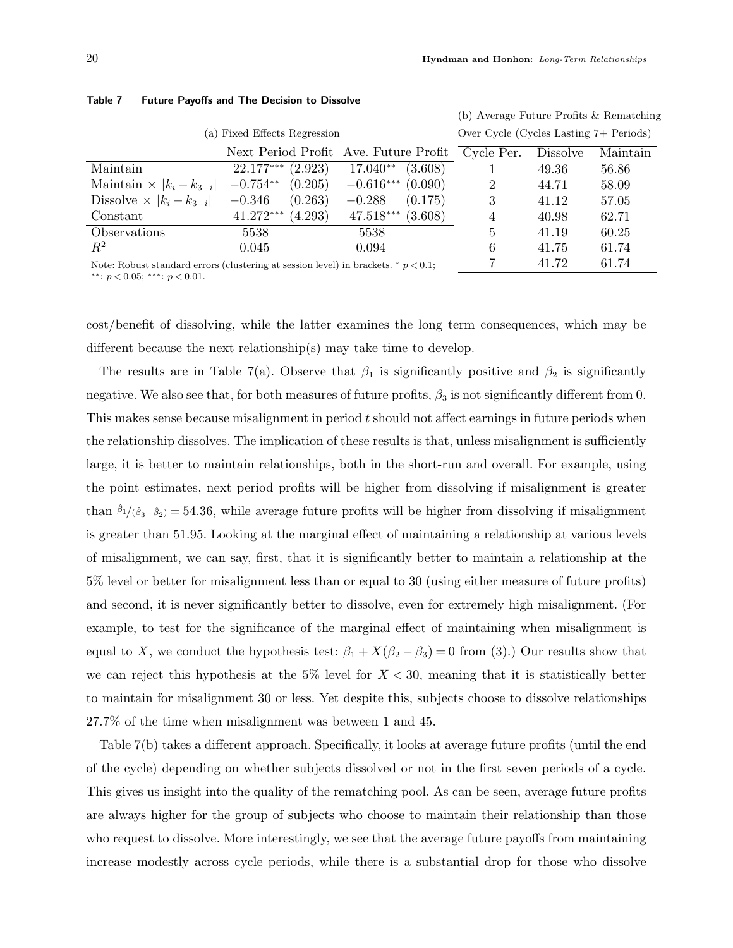| Table 7 | <b>Future Payoffs and The Decision to Dissolve</b> |
|---------|----------------------------------------------------|

(a) Fixed Effects Regression

|  |  |  |  |  | (b) Average Future Profits & Rematching |
|--|--|--|--|--|-----------------------------------------|
|--|--|--|--|--|-----------------------------------------|

|  |  | Over Cycle (Cycles Lasting 7+ Periods) |
|--|--|----------------------------------------|
|  |  |                                        |

|                                                                                       |                        | Next Period Profit Ave. Future Profit | Cycle Per.     | <b>Dissolve</b> | Maintain |
|---------------------------------------------------------------------------------------|------------------------|---------------------------------------|----------------|-----------------|----------|
| Maintain                                                                              | $22.177***$<br>(2.923) | $17.040**$<br>(3.608)                 |                | 49.36           | 56.86    |
| Maintain $\times  k_i - k_{3-i} $                                                     | $-0.754**$<br>(0.205)  | $-0.616***$ (0.090)                   | $\overline{2}$ | 44.71           | 58.09    |
| Dissolve $\times  k_i - k_{3-i} $                                                     | (0.263)<br>$-0.346$    | $-0.288$<br>(0.175)                   | 3              | 41.12           | 57.05    |
| Constant                                                                              | $41.272***$<br>(4.293) | $47.518***$<br>(3.608)                | 4              | 40.98           | 62.71    |
| Observations                                                                          | 5538                   | 5538                                  | $5^{\circ}$    | 41.19           | 60.25    |
| $R^2$                                                                                 | 0.045                  | 0.094                                 | 6              | 41.75           | 61.74    |
| Note: Robust standard errors (clustering at session level) in brackets. * $p < 0.1$ ; |                        |                                       |                | 41.72           | 61.74    |

∗∗: p < 0.05; ∗∗∗: p < 0.01.

cost/benefit of dissolving, while the latter examines the long term consequences, which may be different because the next relationship(s) may take time to develop.

The results are in Table 7(a). Observe that  $\beta_1$  is significantly positive and  $\beta_2$  is significantly negative. We also see that, for both measures of future profits,  $\beta_3$  is not significantly different from 0. This makes sense because misalignment in period t should not affect earnings in future periods when the relationship dissolves. The implication of these results is that, unless misalignment is sufficiently large, it is better to maintain relationships, both in the short-run and overall. For example, using the point estimates, next period profits will be higher from dissolving if misalignment is greater than  $\frac{\hat{\beta}_1}{(\hat{\beta}_3-\hat{\beta}_2)}=54.36$ , while average future profits will be higher from dissolving if misalignment is greater than 51.95. Looking at the marginal effect of maintaining a relationship at various levels of misalignment, we can say, first, that it is significantly better to maintain a relationship at the 5% level or better for misalignment less than or equal to 30 (using either measure of future profits) and second, it is never significantly better to dissolve, even for extremely high misalignment. (For example, to test for the significance of the marginal effect of maintaining when misalignment is equal to X, we conduct the hypothesis test:  $\beta_1 + X(\beta_2 - \beta_3) = 0$  from (3).) Our results show that we can reject this hypothesis at the 5% level for  $X < 30$ , meaning that it is statistically better to maintain for misalignment 30 or less. Yet despite this, subjects choose to dissolve relationships 27.7% of the time when misalignment was between 1 and 45.

Table 7(b) takes a different approach. Specifically, it looks at average future profits (until the end of the cycle) depending on whether subjects dissolved or not in the first seven periods of a cycle. This gives us insight into the quality of the rematching pool. As can be seen, average future profits are always higher for the group of subjects who choose to maintain their relationship than those who request to dissolve. More interestingly, we see that the average future payoffs from maintaining increase modestly across cycle periods, while there is a substantial drop for those who dissolve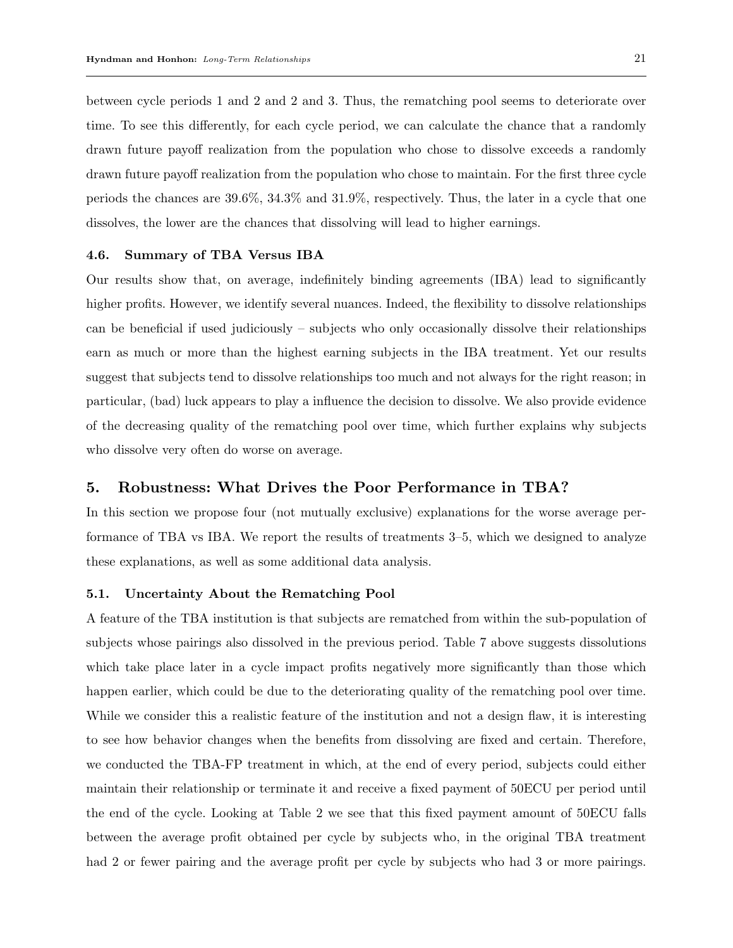between cycle periods 1 and 2 and 2 and 3. Thus, the rematching pool seems to deteriorate over time. To see this differently, for each cycle period, we can calculate the chance that a randomly drawn future payoff realization from the population who chose to dissolve exceeds a randomly drawn future payoff realization from the population who chose to maintain. For the first three cycle periods the chances are 39.6%, 34.3% and 31.9%, respectively. Thus, the later in a cycle that one dissolves, the lower are the chances that dissolving will lead to higher earnings.

#### 4.6. Summary of TBA Versus IBA

Our results show that, on average, indefinitely binding agreements (IBA) lead to significantly higher profits. However, we identify several nuances. Indeed, the flexibility to dissolve relationships can be beneficial if used judiciously – subjects who only occasionally dissolve their relationships earn as much or more than the highest earning subjects in the IBA treatment. Yet our results suggest that subjects tend to dissolve relationships too much and not always for the right reason; in particular, (bad) luck appears to play a influence the decision to dissolve. We also provide evidence of the decreasing quality of the rematching pool over time, which further explains why subjects who dissolve very often do worse on average.

## 5. Robustness: What Drives the Poor Performance in TBA?

In this section we propose four (not mutually exclusive) explanations for the worse average performance of TBA vs IBA. We report the results of treatments 3–5, which we designed to analyze these explanations, as well as some additional data analysis.

## 5.1. Uncertainty About the Rematching Pool

A feature of the TBA institution is that subjects are rematched from within the sub-population of subjects whose pairings also dissolved in the previous period. Table 7 above suggests dissolutions which take place later in a cycle impact profits negatively more significantly than those which happen earlier, which could be due to the deteriorating quality of the rematching pool over time. While we consider this a realistic feature of the institution and not a design flaw, it is interesting to see how behavior changes when the benefits from dissolving are fixed and certain. Therefore, we conducted the TBA-FP treatment in which, at the end of every period, subjects could either maintain their relationship or terminate it and receive a fixed payment of 50ECU per period until the end of the cycle. Looking at Table 2 we see that this fixed payment amount of 50ECU falls between the average profit obtained per cycle by subjects who, in the original TBA treatment had 2 or fewer pairing and the average profit per cycle by subjects who had 3 or more pairings.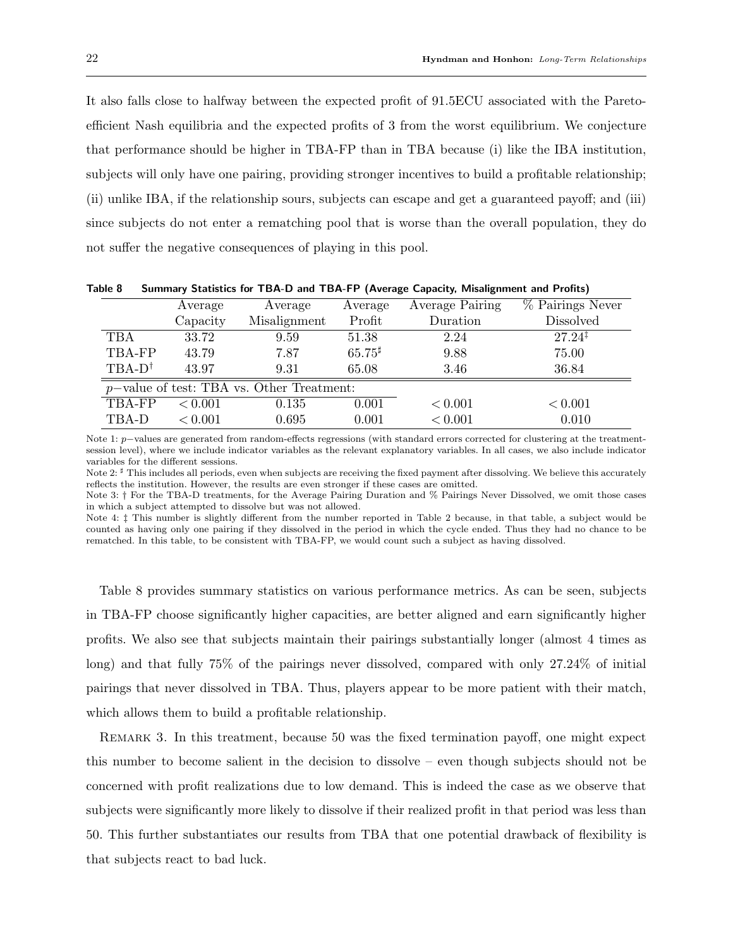It also falls close to halfway between the expected profit of 91.5ECU associated with the Paretoefficient Nash equilibria and the expected profits of 3 from the worst equilibrium. We conjecture that performance should be higher in TBA-FP than in TBA because (i) like the IBA institution, subjects will only have one pairing, providing stronger incentives to build a profitable relationship; (ii) unlike IBA, if the relationship sours, subjects can escape and get a guaranteed payoff; and (iii) since subjects do not enter a rematching pool that is worse than the overall population, they do not suffer the negative consequences of playing in this pool.

| Average                    | Average      | Average          | Average Pairing                              | % Pairings Never                                                                      |
|----------------------------|--------------|------------------|----------------------------------------------|---------------------------------------------------------------------------------------|
| Capacity                   | Misalignment | Profit           | Duration                                     | <b>Dissolved</b>                                                                      |
| 33.72                      | 9.59         | 51.38            | 2.24                                         | $27.24^{\ddagger}$                                                                    |
| TBA-FP<br>43.79            | 7.87         | $65.75^{\sharp}$ | 9.88                                         | 75.00                                                                                 |
| $TBA-D^{\dagger}$<br>43.97 | 9.31         | 65.08            | 3.46                                         | 36.84                                                                                 |
|                            |              |                  |                                              |                                                                                       |
| TBA-FP<br>< 0.001          | 0.135        | 0.001            | < 0.001                                      | < 0.001                                                                               |
| TBA-D<br>< 0.001           | 0.695        | 0.001            | < 0.001                                      | 0.010                                                                                 |
|                            |              |                  | $p$ -value of test: TBA vs. Other Treatment: | Juliniary Jtatistics for TDA-D and TDA-IT (Average Capacity, Misanghinent and Fronts) |

Table 8 Summary Statistics for TBA-D and TBA-FP (Average Capacity, Misalignment and Profits)

Note 1: p−values are generated from random-effects regressions (with standard errors corrected for clustering at the treatmentsession level), where we include indicator variables as the relevant explanatory variables. In all cases, we also include indicator variables for the different sessions.

Note  $2:$  "This includes all periods, even when subjects are receiving the fixed payment after dissolving. We believe this accurately reflects the institution. However, the results are even stronger if these cases are omitted.

Note 3: † For the TBA-D treatments, for the Average Pairing Duration and % Pairings Never Dissolved, we omit those cases in which a subject attempted to dissolve but was not allowed.

Note 4: ‡ This number is slightly different from the number reported in Table 2 because, in that table, a subject would be counted as having only one pairing if they dissolved in the period in which the cycle ended. Thus they had no chance to be rematched. In this table, to be consistent with TBA-FP, we would count such a subject as having dissolved.

Table 8 provides summary statistics on various performance metrics. As can be seen, subjects in TBA-FP choose significantly higher capacities, are better aligned and earn significantly higher profits. We also see that subjects maintain their pairings substantially longer (almost 4 times as long) and that fully 75% of the pairings never dissolved, compared with only 27.24% of initial pairings that never dissolved in TBA. Thus, players appear to be more patient with their match, which allows them to build a profitable relationship.

REMARK 3. In this treatment, because 50 was the fixed termination payoff, one might expect this number to become salient in the decision to dissolve – even though subjects should not be concerned with profit realizations due to low demand. This is indeed the case as we observe that subjects were significantly more likely to dissolve if their realized profit in that period was less than 50. This further substantiates our results from TBA that one potential drawback of flexibility is that subjects react to bad luck.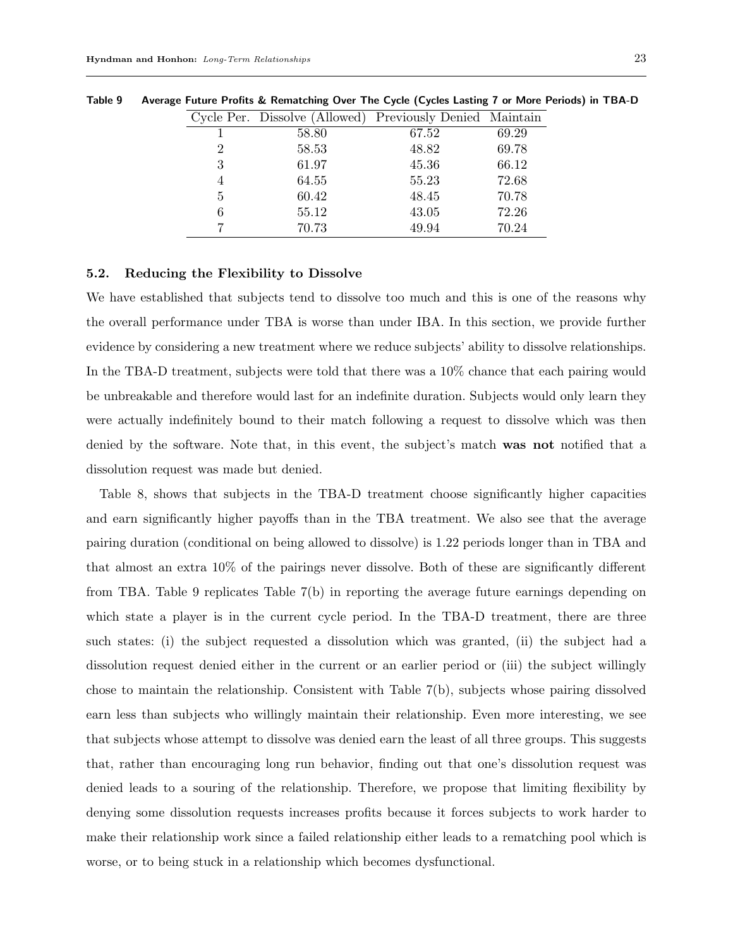|                | Cycle Per. Dissolve (Allowed) Previously Denied Maintain |       |       |
|----------------|----------------------------------------------------------|-------|-------|
|                | 58.80                                                    | 67.52 | 69.29 |
| 2              | 58.53                                                    | 48.82 | 69.78 |
| 3              | 61.97                                                    | 45.36 | 66.12 |
| $\overline{4}$ | 64.55                                                    | 55.23 | 72.68 |
| 5              | 60.42                                                    | 48.45 | 70.78 |
| 6              | 55.12                                                    | 43.05 | 72.26 |
|                | 70.73                                                    | 49.94 | 70.24 |

Table 9 Average Future Profits & Rematching Over The Cycle (Cycles Lasting 7 or More Periods) in TBA-D

#### 5.2. Reducing the Flexibility to Dissolve

We have established that subjects tend to dissolve too much and this is one of the reasons why the overall performance under TBA is worse than under IBA. In this section, we provide further evidence by considering a new treatment where we reduce subjects' ability to dissolve relationships. In the TBA-D treatment, subjects were told that there was a 10% chance that each pairing would be unbreakable and therefore would last for an indefinite duration. Subjects would only learn they were actually indefinitely bound to their match following a request to dissolve which was then denied by the software. Note that, in this event, the subject's match was not notified that a dissolution request was made but denied.

Table 8, shows that subjects in the TBA-D treatment choose significantly higher capacities and earn significantly higher payoffs than in the TBA treatment. We also see that the average pairing duration (conditional on being allowed to dissolve) is 1.22 periods longer than in TBA and that almost an extra 10% of the pairings never dissolve. Both of these are significantly different from TBA. Table 9 replicates Table 7(b) in reporting the average future earnings depending on which state a player is in the current cycle period. In the TBA-D treatment, there are three such states: (i) the subject requested a dissolution which was granted, (ii) the subject had a dissolution request denied either in the current or an earlier period or (iii) the subject willingly chose to maintain the relationship. Consistent with Table 7(b), subjects whose pairing dissolved earn less than subjects who willingly maintain their relationship. Even more interesting, we see that subjects whose attempt to dissolve was denied earn the least of all three groups. This suggests that, rather than encouraging long run behavior, finding out that one's dissolution request was denied leads to a souring of the relationship. Therefore, we propose that limiting flexibility by denying some dissolution requests increases profits because it forces subjects to work harder to make their relationship work since a failed relationship either leads to a rematching pool which is worse, or to being stuck in a relationship which becomes dysfunctional.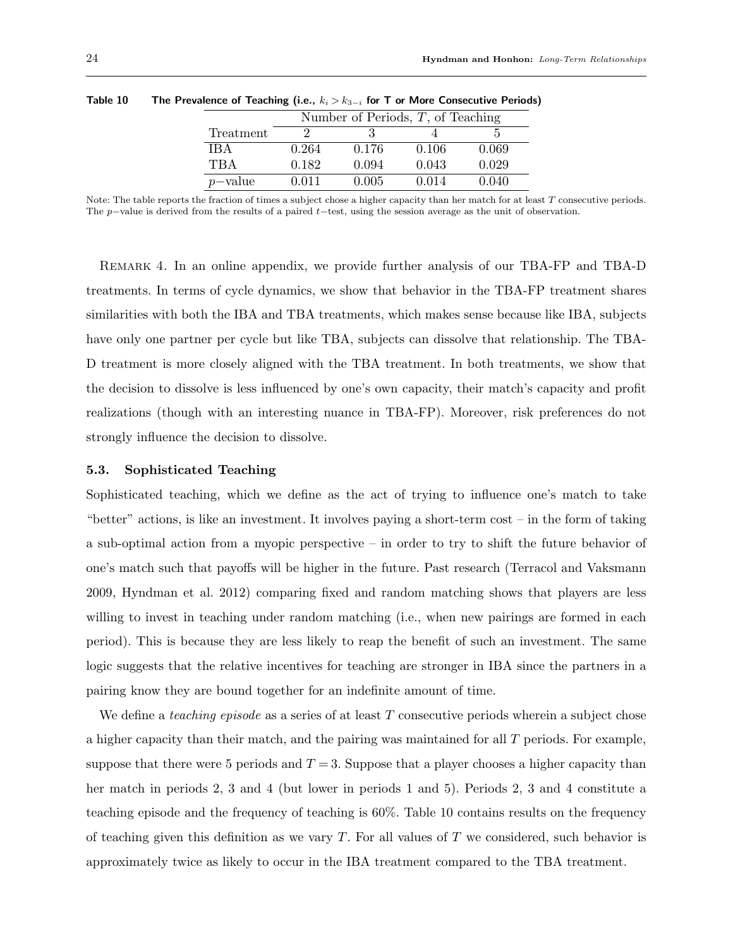|            | Number of Periods, $T$ , of Teaching |       |       |       |  |
|------------|--------------------------------------|-------|-------|-------|--|
| Treatment  |                                      |       |       |       |  |
| IBA        | 0.264                                | 0.176 | 0.106 | 0.069 |  |
| <b>TBA</b> | 0.182                                | 0.094 | 0.043 | 0.029 |  |
| $p$ -value | O 011                                | O OO5 | 0.014 | 0.040 |  |

Table 10 The Prevalence of Teaching (i.e.,  $k_i > k_{3-i}$  for T or More Consecutive Periods)

Note: The table reports the fraction of times a subject chose a higher capacity than her match for at least  $T$  consecutive periods. The p–value is derived from the results of a paired t–test, using the session average as the unit of observation.

REMARK 4. In an online appendix, we provide further analysis of our TBA-FP and TBA-D treatments. In terms of cycle dynamics, we show that behavior in the TBA-FP treatment shares similarities with both the IBA and TBA treatments, which makes sense because like IBA, subjects have only one partner per cycle but like TBA, subjects can dissolve that relationship. The TBA-D treatment is more closely aligned with the TBA treatment. In both treatments, we show that the decision to dissolve is less influenced by one's own capacity, their match's capacity and profit realizations (though with an interesting nuance in TBA-FP). Moreover, risk preferences do not strongly influence the decision to dissolve.

#### 5.3. Sophisticated Teaching

Sophisticated teaching, which we define as the act of trying to influence one's match to take "better" actions, is like an investment. It involves paying a short-term cost – in the form of taking a sub-optimal action from a myopic perspective – in order to try to shift the future behavior of one's match such that payoffs will be higher in the future. Past research (Terracol and Vaksmann 2009, Hyndman et al. 2012) comparing fixed and random matching shows that players are less willing to invest in teaching under random matching (i.e., when new pairings are formed in each period). This is because they are less likely to reap the benefit of such an investment. The same logic suggests that the relative incentives for teaching are stronger in IBA since the partners in a pairing know they are bound together for an indefinite amount of time.

We define a *teaching episode* as a series of at least  $T$  consecutive periods wherein a subject chose a higher capacity than their match, and the pairing was maintained for all  $T$  periods. For example, suppose that there were 5 periods and  $T = 3$ . Suppose that a player chooses a higher capacity than her match in periods 2, 3 and 4 (but lower in periods 1 and 5). Periods 2, 3 and 4 constitute a teaching episode and the frequency of teaching is 60%. Table 10 contains results on the frequency of teaching given this definition as we vary  $T$ . For all values of  $T$  we considered, such behavior is approximately twice as likely to occur in the IBA treatment compared to the TBA treatment.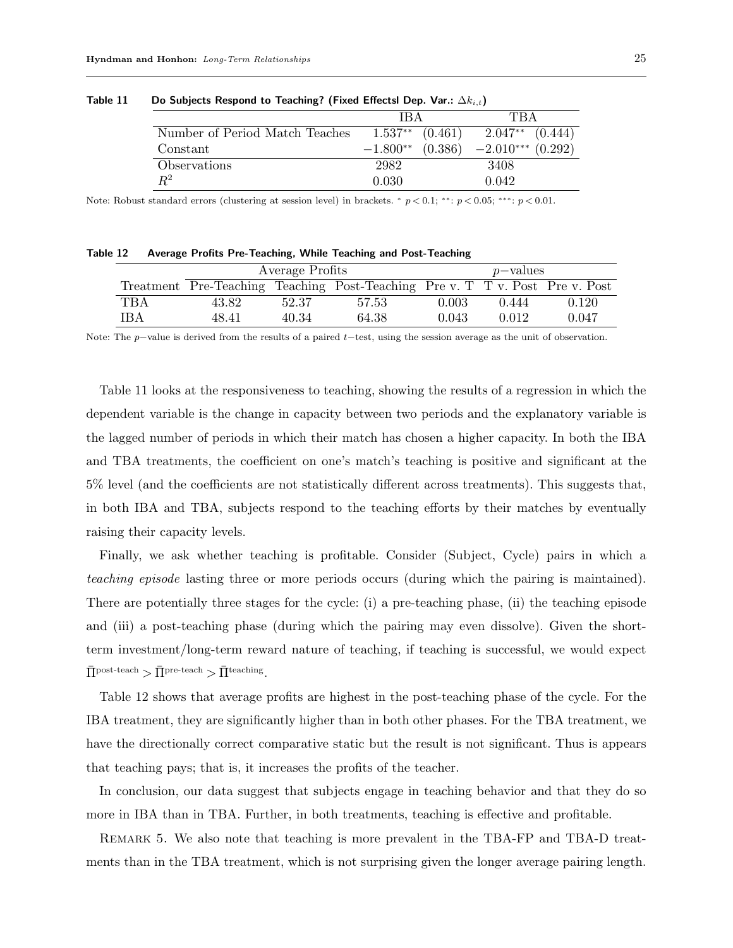|                                | IR A                  | TR A                |
|--------------------------------|-----------------------|---------------------|
| Number of Period Match Teaches | $1.537**$ $(0.461)$   | $2.047**$ $(0.444)$ |
| Constant                       | (0.386)<br>$-1.800**$ | $-2.010***$ (0.292) |
| Observations                   | 2982                  | 3408                |
| $\,R^2$                        | 0.030                 | 0.042               |

Table 11 Do Subjects Respond to Teaching? (Fixed Effectsl Dep. Var.:  $\Delta k_{i,t}$ )

Note: Robust standard errors (clustering at session level) in brackets.  $\gamma p < 0.1$ ; \*\*:  $p < 0.05$ ; \*\*\*:  $p < 0.01$ .

Table 12 Average Profits Pre-Teaching, While Teaching and Post-Teaching

|            | Average Profits |       |                                                                              | $p$ -values |       |       |
|------------|-----------------|-------|------------------------------------------------------------------------------|-------------|-------|-------|
|            |                 |       | Treatment Pre-Teaching Teaching Post-Teaching Pre v. T T v. Post Pre v. Post |             |       |       |
| <b>TBA</b> | 43.82           | 52.37 | 57.53                                                                        | 0.003       | 0.444 | 0.120 |
| IBA        | 48.41           | 40.34 | 64.38                                                                        | 0.043       | 0.012 | 0.047 |

Note: The p−value is derived from the results of a paired t−test, using the session average as the unit of observation.

Table 11 looks at the responsiveness to teaching, showing the results of a regression in which the dependent variable is the change in capacity between two periods and the explanatory variable is the lagged number of periods in which their match has chosen a higher capacity. In both the IBA and TBA treatments, the coefficient on one's match's teaching is positive and significant at the 5% level (and the coefficients are not statistically different across treatments). This suggests that, in both IBA and TBA, subjects respond to the teaching efforts by their matches by eventually raising their capacity levels.

Finally, we ask whether teaching is profitable. Consider (Subject, Cycle) pairs in which a teaching episode lasting three or more periods occurs (during which the pairing is maintained). There are potentially three stages for the cycle: (i) a pre-teaching phase, (ii) the teaching episode and (iii) a post-teaching phase (during which the pairing may even dissolve). Given the shortterm investment/long-term reward nature of teaching, if teaching is successful, we would expect  $\bar{\Pi}^{\text{post-teach}} > \bar{\Pi}^{\text{pre-teach}} > \bar{\Pi}^{\text{teaching}}.$ 

Table 12 shows that average profits are highest in the post-teaching phase of the cycle. For the IBA treatment, they are significantly higher than in both other phases. For the TBA treatment, we have the directionally correct comparative static but the result is not significant. Thus is appears that teaching pays; that is, it increases the profits of the teacher.

In conclusion, our data suggest that subjects engage in teaching behavior and that they do so more in IBA than in TBA. Further, in both treatments, teaching is effective and profitable.

REMARK 5. We also note that teaching is more prevalent in the TBA-FP and TBA-D treatments than in the TBA treatment, which is not surprising given the longer average pairing length.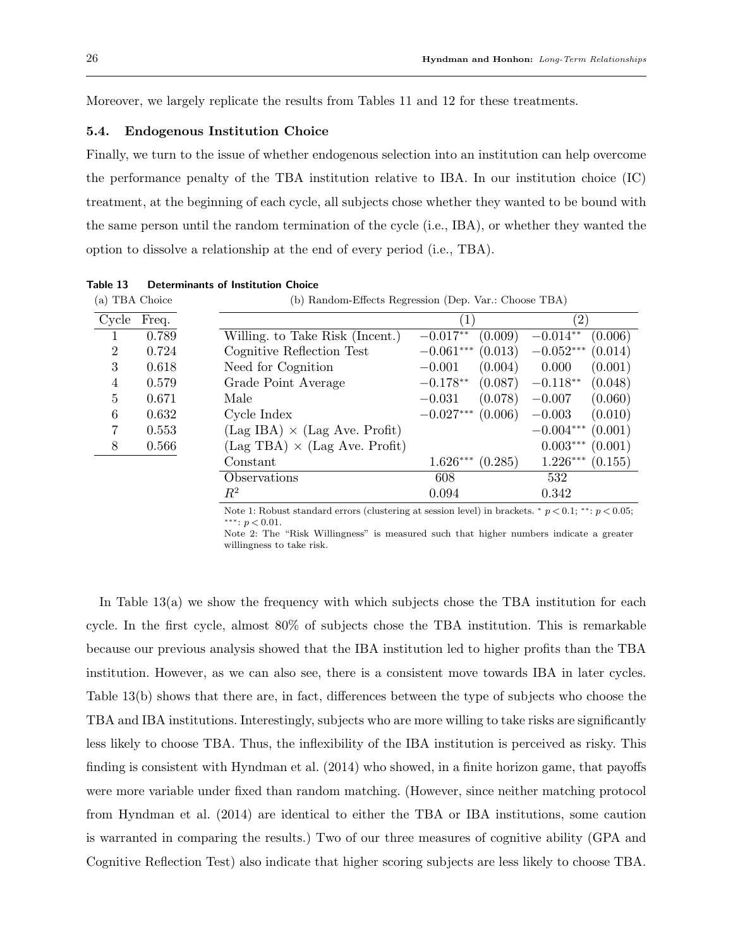Moreover, we largely replicate the results from Tables 11 and 12 for these treatments.

## 5.4. Endogenous Institution Choice

Finally, we turn to the issue of whether endogenous selection into an institution can help overcome the performance penalty of the TBA institution relative to IBA. In our institution choice (IC) treatment, at the beginning of each cycle, all subjects chose whether they wanted to be bound with the same person until the random termination of the cycle (i.e., IBA), or whether they wanted the option to dissolve a relationship at the end of every period (i.e., TBA).

| (a) TBA Choice |       |                                                    | (b) Random-Effects Regression (Dep. Var.: Choose TBA) |                        |  |  |
|----------------|-------|----------------------------------------------------|-------------------------------------------------------|------------------------|--|--|
| Cycle          | Freq. |                                                    |                                                       | $^{\prime}2)$          |  |  |
|                | 0.789 | Willing. to Take Risk (Incent.)                    | (0.009)<br>$-0.017**$                                 | $-0.014**$<br>(0.006)  |  |  |
| $\overline{2}$ | 0.724 | Cognitive Reflection Test                          | $-0.061***$<br>(0.013)                                | $-0.052***$<br>(0.014) |  |  |
| 3              | 0.618 | Need for Cognition                                 | (0.004)<br>$-0.001$                                   | 0.000<br>(0.001)       |  |  |
| 4              | 0.579 | Grade Point Average                                | $-0.178**$<br>(0.087)                                 | $-0.118**$<br>(0.048)  |  |  |
| 5              | 0.671 | Male                                               | $-0.031$<br>(0.078)                                   | (0.060)<br>$-0.007$    |  |  |
| 6              | 0.632 | Cycle Index                                        | $-0.027***$<br>(0.006)                                | (0.010)<br>$-0.003$    |  |  |
| 7              | 0.553 | $\text{(Lag IBA)} \times \text{(Lag Ave. Profit)}$ |                                                       | $-0.004***$<br>(0.001) |  |  |
| 8              | 0.566 | $\text{(Lag TBA)} \times \text{(Lag Ave. Profit)}$ |                                                       | $0.003***$<br>(0.001)  |  |  |
|                |       | Constant                                           | (0.285)<br>$1.626***$                                 | $1.226***$<br>(0.155)  |  |  |
|                |       | <i><b>Observations</b></i>                         | 608                                                   | 532                    |  |  |
|                |       | $\,R^2$                                            | 0.094                                                 | 0.342                  |  |  |

Table 13 Determinants of Institution Choice

Note 1: Robust standard errors (clustering at session level) in brackets.  $* p < 0.1; **: p < 0.05;$ ∗∗∗: p < 0.01.

Note 2: The "Risk Willingness" is measured such that higher numbers indicate a greater willingness to take risk.

In Table 13(a) we show the frequency with which subjects chose the TBA institution for each cycle. In the first cycle, almost 80% of subjects chose the TBA institution. This is remarkable because our previous analysis showed that the IBA institution led to higher profits than the TBA institution. However, as we can also see, there is a consistent move towards IBA in later cycles. Table 13(b) shows that there are, in fact, differences between the type of subjects who choose the TBA and IBA institutions. Interestingly, subjects who are more willing to take risks are significantly less likely to choose TBA. Thus, the inflexibility of the IBA institution is perceived as risky. This finding is consistent with Hyndman et al. (2014) who showed, in a finite horizon game, that payoffs were more variable under fixed than random matching. (However, since neither matching protocol from Hyndman et al. (2014) are identical to either the TBA or IBA institutions, some caution is warranted in comparing the results.) Two of our three measures of cognitive ability (GPA and Cognitive Reflection Test) also indicate that higher scoring subjects are less likely to choose TBA.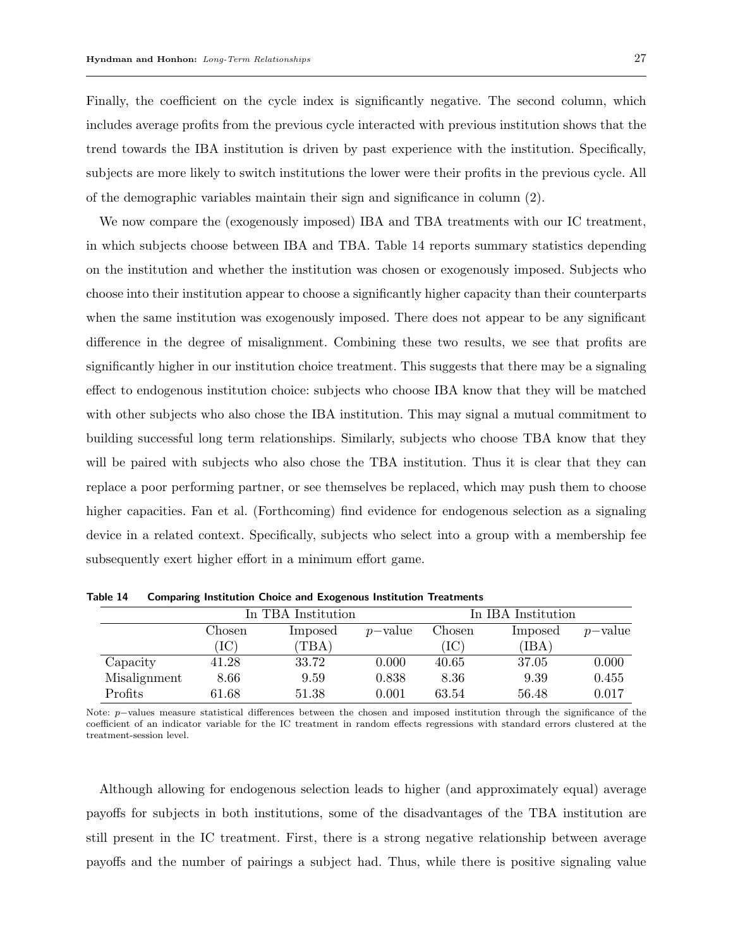Finally, the coefficient on the cycle index is significantly negative. The second column, which includes average profits from the previous cycle interacted with previous institution shows that the trend towards the IBA institution is driven by past experience with the institution. Specifically, subjects are more likely to switch institutions the lower were their profits in the previous cycle. All of the demographic variables maintain their sign and significance in column (2).

We now compare the (exogenously imposed) IBA and TBA treatments with our IC treatment, in which subjects choose between IBA and TBA. Table 14 reports summary statistics depending on the institution and whether the institution was chosen or exogenously imposed. Subjects who choose into their institution appear to choose a significantly higher capacity than their counterparts when the same institution was exogenously imposed. There does not appear to be any significant difference in the degree of misalignment. Combining these two results, we see that profits are significantly higher in our institution choice treatment. This suggests that there may be a signaling effect to endogenous institution choice: subjects who choose IBA know that they will be matched with other subjects who also chose the IBA institution. This may signal a mutual commitment to building successful long term relationships. Similarly, subjects who choose TBA know that they will be paired with subjects who also chose the TBA institution. Thus it is clear that they can replace a poor performing partner, or see themselves be replaced, which may push them to choose higher capacities. Fan et al. (Forthcoming) find evidence for endogenous selection as a signaling device in a related context. Specifically, subjects who select into a group with a membership fee subsequently exert higher effort in a minimum effort game.

|              |        | In TBA Institution |            |               | In IBA Institution |            |
|--------------|--------|--------------------|------------|---------------|--------------------|------------|
|              | Chosen | Imposed            | $p$ -value | Chosen        | Imposed            | $p$ -value |
|              | TC)    | TBA)               |            | $\mathrm{IC}$ | (IBA)              |            |
| Capacity     | 41.28  | 33.72              | 0.000      | 40.65         | 37.05              | 0.000      |
| Misalignment | 8.66   | 9.59               | 0.838      | 8.36          | 9.39               | 0.455      |
| Profits      | 61.68  | 51.38              | 0.001      | 63.54         | 56.48              | 0.017      |

Table 14 Comparing Institution Choice and Exogenous Institution Treatments

Note: p−values measure statistical differences between the chosen and imposed institution through the significance of the coefficient of an indicator variable for the IC treatment in random effects regressions with standard errors clustered at the treatment-session level.

Although allowing for endogenous selection leads to higher (and approximately equal) average payoffs for subjects in both institutions, some of the disadvantages of the TBA institution are still present in the IC treatment. First, there is a strong negative relationship between average payoffs and the number of pairings a subject had. Thus, while there is positive signaling value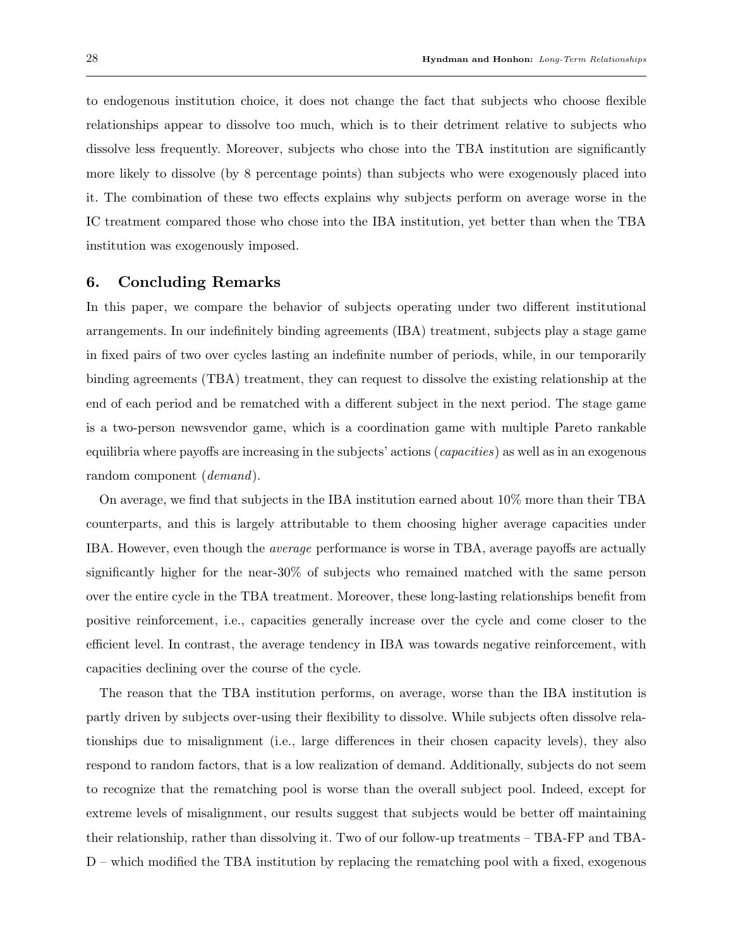to endogenous institution choice, it does not change the fact that subjects who choose flexible relationships appear to dissolve too much, which is to their detriment relative to subjects who dissolve less frequently. Moreover, subjects who chose into the TBA institution are significantly more likely to dissolve (by 8 percentage points) than subjects who were exogenously placed into it. The combination of these two effects explains why subjects perform on average worse in the IC treatment compared those who chose into the IBA institution, yet better than when the TBA institution was exogenously imposed.

## 6. Concluding Remarks

In this paper, we compare the behavior of subjects operating under two different institutional arrangements. In our indefinitely binding agreements (IBA) treatment, subjects play a stage game in fixed pairs of two over cycles lasting an indefinite number of periods, while, in our temporarily binding agreements (TBA) treatment, they can request to dissolve the existing relationship at the end of each period and be rematched with a different subject in the next period. The stage game is a two-person newsvendor game, which is a coordination game with multiple Pareto rankable equilibria where payoffs are increasing in the subjects' actions (capacities) as well as in an exogenous random component *(demand)*.

On average, we find that subjects in the IBA institution earned about 10% more than their TBA counterparts, and this is largely attributable to them choosing higher average capacities under IBA. However, even though the average performance is worse in TBA, average payoffs are actually significantly higher for the near-30% of subjects who remained matched with the same person over the entire cycle in the TBA treatment. Moreover, these long-lasting relationships benefit from positive reinforcement, i.e., capacities generally increase over the cycle and come closer to the efficient level. In contrast, the average tendency in IBA was towards negative reinforcement, with capacities declining over the course of the cycle.

The reason that the TBA institution performs, on average, worse than the IBA institution is partly driven by subjects over-using their flexibility to dissolve. While subjects often dissolve relationships due to misalignment (i.e., large differences in their chosen capacity levels), they also respond to random factors, that is a low realization of demand. Additionally, subjects do not seem to recognize that the rematching pool is worse than the overall subject pool. Indeed, except for extreme levels of misalignment, our results suggest that subjects would be better off maintaining their relationship, rather than dissolving it. Two of our follow-up treatments – TBA-FP and TBA-D – which modified the TBA institution by replacing the rematching pool with a fixed, exogenous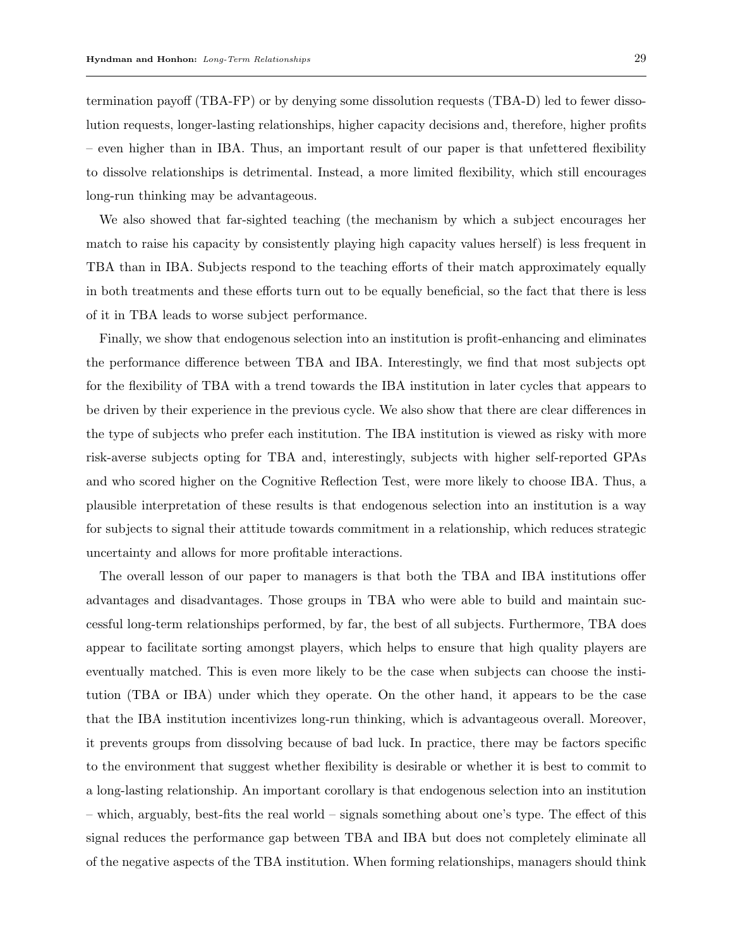termination payoff (TBA-FP) or by denying some dissolution requests (TBA-D) led to fewer dissolution requests, longer-lasting relationships, higher capacity decisions and, therefore, higher profits

– even higher than in IBA. Thus, an important result of our paper is that unfettered flexibility to dissolve relationships is detrimental. Instead, a more limited flexibility, which still encourages long-run thinking may be advantageous.

We also showed that far-sighted teaching (the mechanism by which a subject encourages her match to raise his capacity by consistently playing high capacity values herself) is less frequent in TBA than in IBA. Subjects respond to the teaching efforts of their match approximately equally in both treatments and these efforts turn out to be equally beneficial, so the fact that there is less of it in TBA leads to worse subject performance.

Finally, we show that endogenous selection into an institution is profit-enhancing and eliminates the performance difference between TBA and IBA. Interestingly, we find that most subjects opt for the flexibility of TBA with a trend towards the IBA institution in later cycles that appears to be driven by their experience in the previous cycle. We also show that there are clear differences in the type of subjects who prefer each institution. The IBA institution is viewed as risky with more risk-averse subjects opting for TBA and, interestingly, subjects with higher self-reported GPAs and who scored higher on the Cognitive Reflection Test, were more likely to choose IBA. Thus, a plausible interpretation of these results is that endogenous selection into an institution is a way for subjects to signal their attitude towards commitment in a relationship, which reduces strategic uncertainty and allows for more profitable interactions.

The overall lesson of our paper to managers is that both the TBA and IBA institutions offer advantages and disadvantages. Those groups in TBA who were able to build and maintain successful long-term relationships performed, by far, the best of all subjects. Furthermore, TBA does appear to facilitate sorting amongst players, which helps to ensure that high quality players are eventually matched. This is even more likely to be the case when subjects can choose the institution (TBA or IBA) under which they operate. On the other hand, it appears to be the case that the IBA institution incentivizes long-run thinking, which is advantageous overall. Moreover, it prevents groups from dissolving because of bad luck. In practice, there may be factors specific to the environment that suggest whether flexibility is desirable or whether it is best to commit to a long-lasting relationship. An important corollary is that endogenous selection into an institution – which, arguably, best-fits the real world – signals something about one's type. The effect of this signal reduces the performance gap between TBA and IBA but does not completely eliminate all of the negative aspects of the TBA institution. When forming relationships, managers should think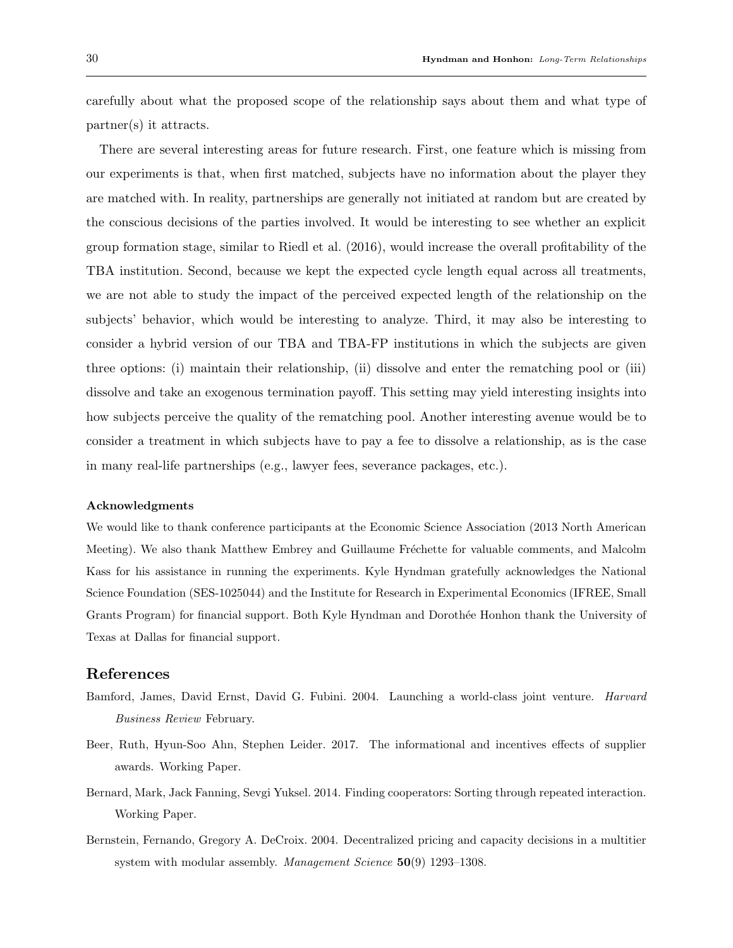carefully about what the proposed scope of the relationship says about them and what type of partner(s) it attracts.

There are several interesting areas for future research. First, one feature which is missing from our experiments is that, when first matched, subjects have no information about the player they are matched with. In reality, partnerships are generally not initiated at random but are created by the conscious decisions of the parties involved. It would be interesting to see whether an explicit group formation stage, similar to Riedl et al. (2016), would increase the overall profitability of the TBA institution. Second, because we kept the expected cycle length equal across all treatments, we are not able to study the impact of the perceived expected length of the relationship on the subjects' behavior, which would be interesting to analyze. Third, it may also be interesting to consider a hybrid version of our TBA and TBA-FP institutions in which the subjects are given three options: (i) maintain their relationship, (ii) dissolve and enter the rematching pool or (iii) dissolve and take an exogenous termination payoff. This setting may yield interesting insights into how subjects perceive the quality of the rematching pool. Another interesting avenue would be to consider a treatment in which subjects have to pay a fee to dissolve a relationship, as is the case in many real-life partnerships (e.g., lawyer fees, severance packages, etc.).

#### Acknowledgments

We would like to thank conference participants at the Economic Science Association (2013 North American Meeting). We also thank Matthew Embrey and Guillaume Fréchette for valuable comments, and Malcolm Kass for his assistance in running the experiments. Kyle Hyndman gratefully acknowledges the National Science Foundation (SES-1025044) and the Institute for Research in Experimental Economics (IFREE, Small Grants Program) for financial support. Both Kyle Hyndman and Dorothée Honhon thank the University of Texas at Dallas for financial support.

# References

- Bamford, James, David Ernst, David G. Fubini. 2004. Launching a world-class joint venture. Harvard Business Review February.
- Beer, Ruth, Hyun-Soo Ahn, Stephen Leider. 2017. The informational and incentives effects of supplier awards. Working Paper.
- Bernard, Mark, Jack Fanning, Sevgi Yuksel. 2014. Finding cooperators: Sorting through repeated interaction. Working Paper.
- Bernstein, Fernando, Gregory A. DeCroix. 2004. Decentralized pricing and capacity decisions in a multitier system with modular assembly. *Management Science*  $50(9)$  1293–1308.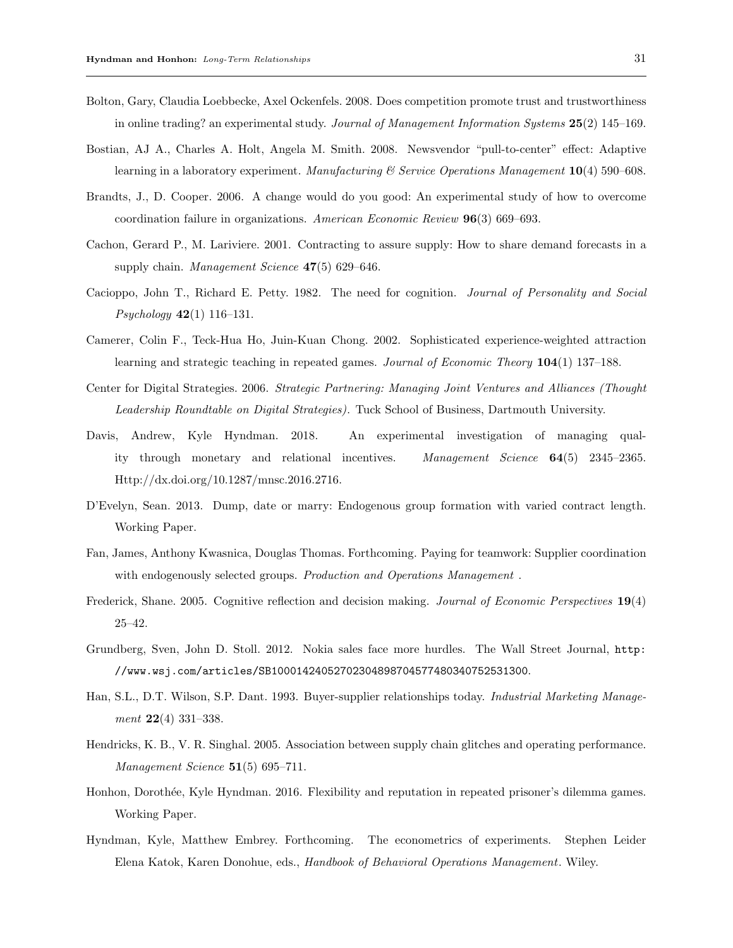- Bolton, Gary, Claudia Loebbecke, Axel Ockenfels. 2008. Does competition promote trust and trustworthiness in online trading? an experimental study. Journal of Management Information Systems 25(2) 145–169.
- Bostian, AJ A., Charles A. Holt, Angela M. Smith. 2008. Newsvendor "pull-to-center" effect: Adaptive learning in a laboratory experiment. Manufacturing  $\mathcal C$  Service Operations Management 10(4) 590–608.
- Brandts, J., D. Cooper. 2006. A change would do you good: An experimental study of how to overcome coordination failure in organizations. American Economic Review 96(3) 669–693.
- Cachon, Gerard P., M. Lariviere. 2001. Contracting to assure supply: How to share demand forecasts in a supply chain. Management Science 47(5) 629–646.
- Cacioppo, John T., Richard E. Petty. 1982. The need for cognition. Journal of Personality and Social *Psychology* 42(1) 116–131.
- Camerer, Colin F., Teck-Hua Ho, Juin-Kuan Chong. 2002. Sophisticated experience-weighted attraction learning and strategic teaching in repeated games. Journal of Economic Theory 104(1) 137–188.
- Center for Digital Strategies. 2006. Strategic Partnering: Managing Joint Ventures and Alliances (Thought Leadership Roundtable on Digital Strategies). Tuck School of Business, Dartmouth University.
- Davis, Andrew, Kyle Hyndman. 2018. An experimental investigation of managing quality through monetary and relational incentives. Management Science 64(5) 2345–2365. Http://dx.doi.org/10.1287/mnsc.2016.2716.
- D'Evelyn, Sean. 2013. Dump, date or marry: Endogenous group formation with varied contract length. Working Paper.
- Fan, James, Anthony Kwasnica, Douglas Thomas. Forthcoming. Paying for teamwork: Supplier coordination with endogenously selected groups. Production and Operations Management.
- Frederick, Shane. 2005. Cognitive reflection and decision making. Journal of Economic Perspectives 19(4) 25–42.
- Grundberg, Sven, John D. Stoll. 2012. Nokia sales face more hurdles. The Wall Street Journal, http: //www.wsj.com/articles/SB10001424052702304898704577480340752531300.
- Han, S.L., D.T. Wilson, S.P. Dant. 1993. Buyer-supplier relationships today. Industrial Marketing Management **22**(4) 331-338.
- Hendricks, K. B., V. R. Singhal. 2005. Association between supply chain glitches and operating performance. Management Science 51(5) 695-711.
- Honhon, Doroth´ee, Kyle Hyndman. 2016. Flexibility and reputation in repeated prisoner's dilemma games. Working Paper.
- Hyndman, Kyle, Matthew Embrey. Forthcoming. The econometrics of experiments. Stephen Leider Elena Katok, Karen Donohue, eds., Handbook of Behavioral Operations Management. Wiley.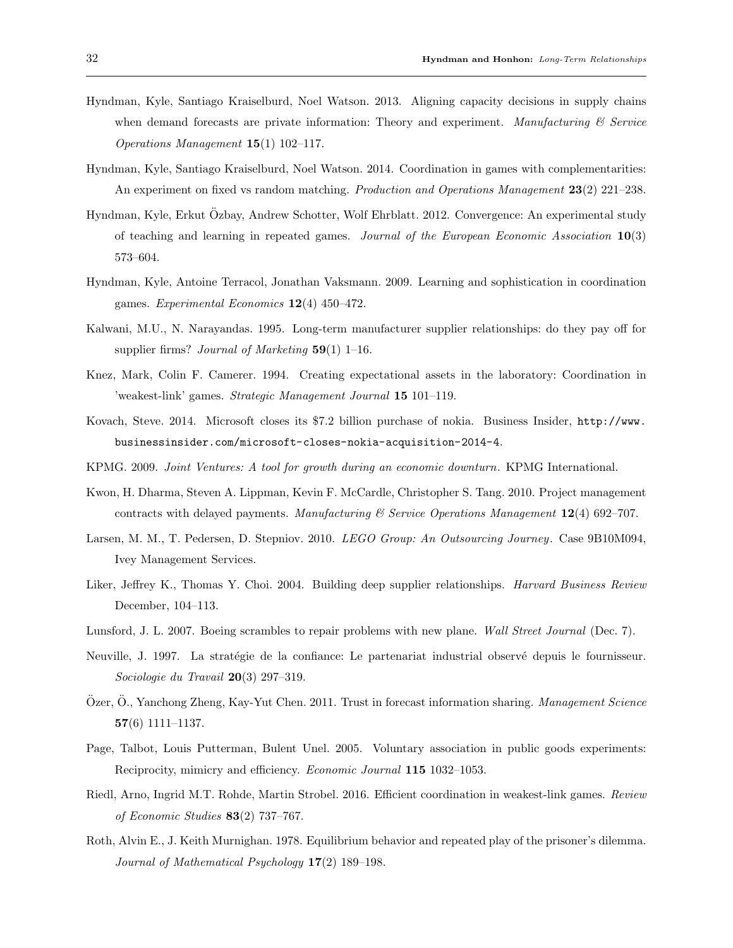- Hyndman, Kyle, Santiago Kraiselburd, Noel Watson. 2013. Aligning capacity decisions in supply chains when demand forecasts are private information: Theory and experiment. Manufacturing  $\mathcal C$  Service Operations Management 15(1) 102–117.
- Hyndman, Kyle, Santiago Kraiselburd, Noel Watson. 2014. Coordination in games with complementarities: An experiment on fixed vs random matching. Production and Operations Management 23(2) 221–238.
- Hyndman, Kyle, Erkut Ozbay, Andrew Schotter, Wolf Ehrblatt. 2012. Convergence: An experimental study ¨ of teaching and learning in repeated games. Journal of the European Economic Association  $10(3)$ 573–604.
- Hyndman, Kyle, Antoine Terracol, Jonathan Vaksmann. 2009. Learning and sophistication in coordination games. Experimental Economics  $12(4)$  450-472.
- Kalwani, M.U., N. Narayandas. 1995. Long-term manufacturer supplier relationships: do they pay off for supplier firms? Journal of Marketing  $59(1)$  1–16.
- Knez, Mark, Colin F. Camerer. 1994. Creating expectational assets in the laboratory: Coordination in 'weakest-link' games. Strategic Management Journal 15 101–119.
- Kovach, Steve. 2014. Microsoft closes its \$7.2 billion purchase of nokia. Business Insider, http://www. businessinsider.com/microsoft-closes-nokia-acquisition-2014-4.
- KPMG. 2009. Joint Ventures: A tool for growth during an economic downturn. KPMG International.
- Kwon, H. Dharma, Steven A. Lippman, Kevin F. McCardle, Christopher S. Tang. 2010. Project management contracts with delayed payments. Manufacturing  $\mathscr B$  Service Operations Management 12(4) 692–707.
- Larsen, M. M., T. Pedersen, D. Stepniov. 2010. LEGO Group: An Outsourcing Journey. Case 9B10M094, Ivey Management Services.
- Liker, Jeffrey K., Thomas Y. Choi. 2004. Building deep supplier relationships. *Harvard Business Review* December, 104–113.
- Lunsford, J. L. 2007. Boeing scrambles to repair problems with new plane. Wall Street Journal (Dec. 7).
- Neuville, J. 1997. La stratégie de la confiance: Le partenariat industrial observé depuis le fournisseur. Sociologie du Travail 20(3) 297–319.
- Ozer, O., Yanchong Zheng, Kay-Yut Chen. 2011. Trust in forecast information sharing. Management Science 57(6) 1111–1137.
- Page, Talbot, Louis Putterman, Bulent Unel. 2005. Voluntary association in public goods experiments: Reciprocity, mimicry and efficiency. Economic Journal 115 1032-1053.
- Riedl, Arno, Ingrid M.T. Rohde, Martin Strobel. 2016. Efficient coordination in weakest-link games. Review of Economic Studies 83(2) 737–767.
- Roth, Alvin E., J. Keith Murnighan. 1978. Equilibrium behavior and repeated play of the prisoner's dilemma. Journal of Mathematical Psychology  $17(2)$  189–198.